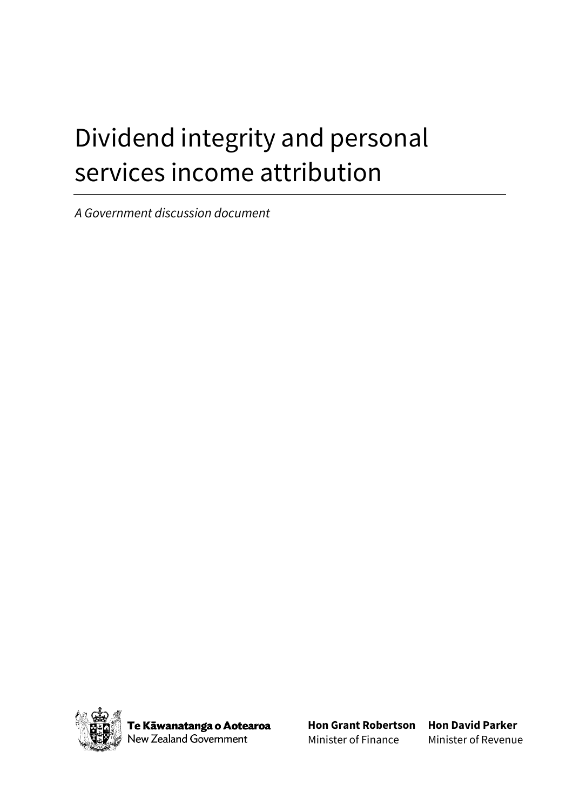# Dividend integrity and personal services income attribution

*A Government discussion document*



**Te Kāwanatanga o Aotearoa**<br>Vew Zealand Government

**Hon Grant Robertson Hon David Parker** Minister of Finance

Minister of Revenue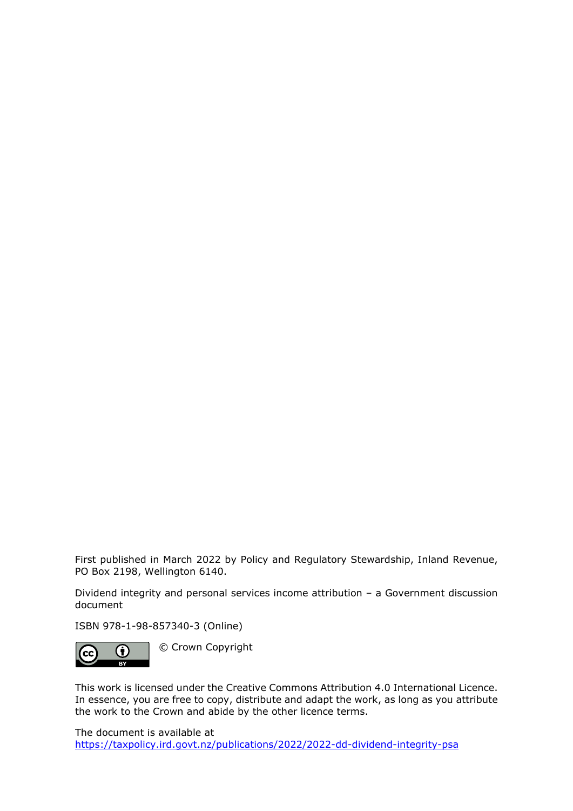First published in March 2022 by Policy and Regulatory Stewardship, Inland Revenue, PO Box 2198, Wellington 6140.

Dividend integrity and personal services income attribution – a Government discussion document

ISBN 978-1-98-857340-3 (Online)



© Crown Copyright

This work is licensed under the Creative Commons Attribution 4.0 International Licence. In essence, you are free to copy, distribute and adapt the work, as long as you attribute the work to the Crown and abide by the other licence terms.

The document is available at [https://taxpolicy.ird.govt.nz/publications/2022/2022-dd-dividend-integrity-psa](https://www.taxpolicy.ird.govt.nz/publications/2022/2022-dd-dividend-integrity-psa)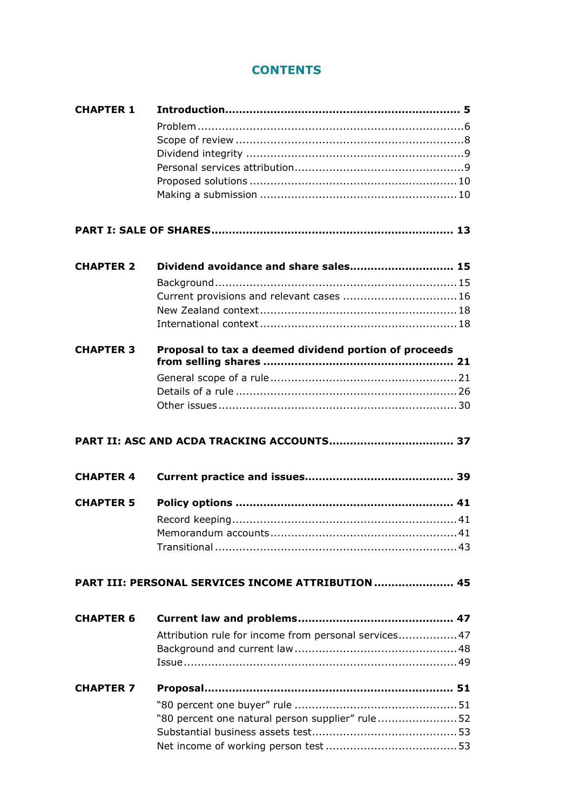# **CONTENTS**

| <b>CHAPTER 1</b> |                                                       |  |
|------------------|-------------------------------------------------------|--|
|                  |                                                       |  |
|                  |                                                       |  |
|                  |                                                       |  |
|                  |                                                       |  |
|                  |                                                       |  |
|                  |                                                       |  |
|                  |                                                       |  |
|                  |                                                       |  |
| <b>CHAPTER 2</b> | Dividend avoidance and share sales 15                 |  |
|                  |                                                       |  |
|                  |                                                       |  |
|                  | Current provisions and relevant cases  16             |  |
|                  |                                                       |  |
|                  |                                                       |  |
| <b>CHAPTER 3</b> | Proposal to tax a deemed dividend portion of proceeds |  |
|                  |                                                       |  |
|                  |                                                       |  |
|                  |                                                       |  |
|                  |                                                       |  |
|                  |                                                       |  |
|                  |                                                       |  |
| <b>CHAPTER 4</b> |                                                       |  |
| <b>CHAPTER 5</b> |                                                       |  |
|                  |                                                       |  |
|                  |                                                       |  |
|                  |                                                       |  |
|                  |                                                       |  |
|                  | PART III: PERSONAL SERVICES INCOME ATTRIBUTION  45    |  |
| <b>CHAPTER 6</b> |                                                       |  |
|                  | Attribution rule for income from personal services 47 |  |
|                  |                                                       |  |
|                  |                                                       |  |
|                  |                                                       |  |
| <b>CHAPTER 7</b> |                                                       |  |
|                  |                                                       |  |
|                  | "80 percent one natural person supplier" rule52       |  |
|                  |                                                       |  |
|                  |                                                       |  |
|                  |                                                       |  |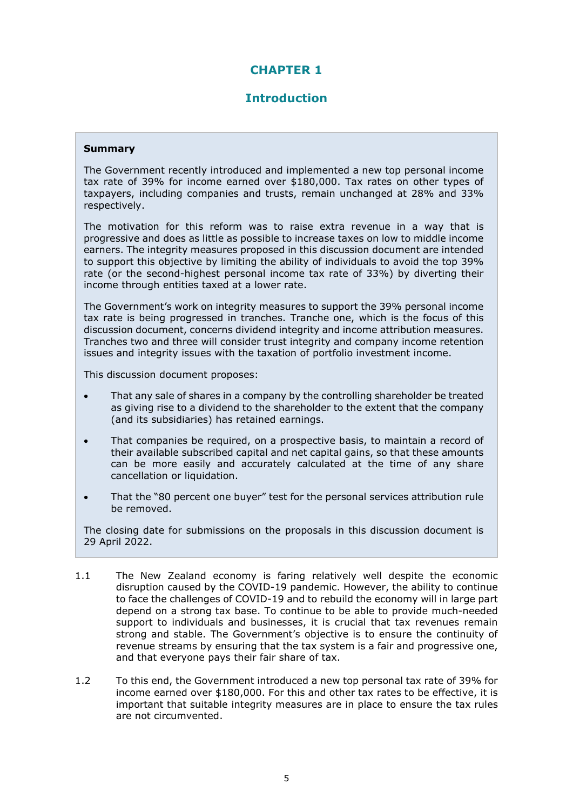## **CHAPTER 1**

## **Introduction**

#### **Summary**

The Government recently introduced and implemented a new top personal income tax rate of 39% for income earned over \$180,000. Tax rates on other types of taxpayers, including companies and trusts, remain unchanged at 28% and 33% respectively.

The motivation for this reform was to raise extra revenue in a way that is progressive and does as little as possible to increase taxes on low to middle income earners. The integrity measures proposed in this discussion document are intended to support this objective by limiting the ability of individuals to avoid the top 39% rate (or the second-highest personal income tax rate of 33%) by diverting their income through entities taxed at a lower rate.

The Government's work on integrity measures to support the 39% personal income tax rate is being progressed in tranches. Tranche one, which is the focus of this discussion document, concerns dividend integrity and income attribution measures. Tranches two and three will consider trust integrity and company income retention issues and integrity issues with the taxation of portfolio investment income.

This discussion document proposes:

- That any sale of shares in a company by the controlling shareholder be treated as giving rise to a dividend to the shareholder to the extent that the company (and its subsidiaries) has retained earnings.
- That companies be required, on a prospective basis, to maintain a record of their available subscribed capital and net capital gains, so that these amounts can be more easily and accurately calculated at the time of any share cancellation or liquidation.
- That the "80 percent one buyer" test for the personal services attribution rule be removed.

The closing date for submissions on the proposals in this discussion document is 29 April 2022.

- 1.1 The New Zealand economy is faring relatively well despite the economic disruption caused by the COVID-19 pandemic. However, the ability to continue to face the challenges of COVID-19 and to rebuild the economy will in large part depend on a strong tax base. To continue to be able to provide much-needed support to individuals and businesses, it is crucial that tax revenues remain strong and stable. The Government's objective is to ensure the continuity of revenue streams by ensuring that the tax system is a fair and progressive one, and that everyone pays their fair share of tax.
- 1.2 To this end, the Government introduced a new top personal tax rate of 39% for income earned over \$180,000. For this and other tax rates to be effective, it is important that suitable integrity measures are in place to ensure the tax rules are not circumvented.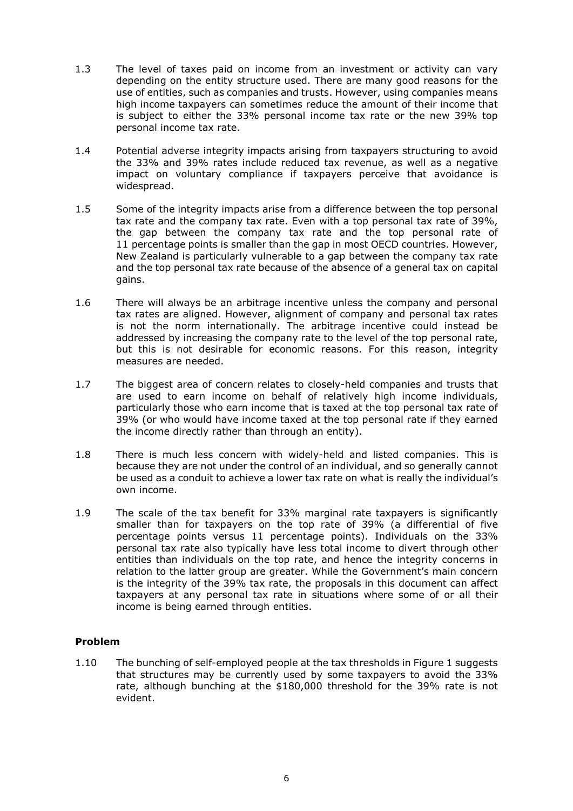- 1.3 The level of taxes paid on income from an investment or activity can vary depending on the entity structure used. There are many good reasons for the use of entities, such as companies and trusts. However, using companies means high income taxpayers can sometimes reduce the amount of their income that is subject to either the 33% personal income tax rate or the new 39% top personal income tax rate.
- 1.4 Potential adverse integrity impacts arising from taxpayers structuring to avoid the 33% and 39% rates include reduced tax revenue, as well as a negative impact on voluntary compliance if taxpayers perceive that avoidance is widespread.
- 1.5 Some of the integrity impacts arise from a difference between the top personal tax rate and the company tax rate. Even with a top personal tax rate of 39%, the gap between the company tax rate and the top personal rate of 11 percentage points is smaller than the gap in most OECD countries. However, New Zealand is particularly vulnerable to a gap between the company tax rate and the top personal tax rate because of the absence of a general tax on capital gains.
- 1.6 There will always be an arbitrage incentive unless the company and personal tax rates are aligned. However, alignment of company and personal tax rates is not the norm internationally. The arbitrage incentive could instead be addressed by increasing the company rate to the level of the top personal rate, but this is not desirable for economic reasons. For this reason, integrity measures are needed.
- 1.7 The biggest area of concern relates to closely-held companies and trusts that are used to earn income on behalf of relatively high income individuals, particularly those who earn income that is taxed at the top personal tax rate of 39% (or who would have income taxed at the top personal rate if they earned the income directly rather than through an entity).
- 1.8 There is much less concern with widely-held and listed companies. This is because they are not under the control of an individual, and so generally cannot be used as a conduit to achieve a lower tax rate on what is really the individual's own income.
- 1.9 The scale of the tax benefit for 33% marginal rate taxpayers is significantly smaller than for taxpayers on the top rate of 39% (a differential of five percentage points versus 11 percentage points). Individuals on the 33% personal tax rate also typically have less total income to divert through other entities than individuals on the top rate, and hence the integrity concerns in relation to the latter group are greater. While the Government's main concern is the integrity of the 39% tax rate, the proposals in this document can affect taxpayers at any personal tax rate in situations where some of or all their income is being earned through entities.

#### **Problem**

1.10 The bunching of self-employed people at the tax thresholds in Figure 1 suggests that structures may be currently used by some taxpayers to avoid the 33% rate, although bunching at the \$180,000 threshold for the 39% rate is not evident.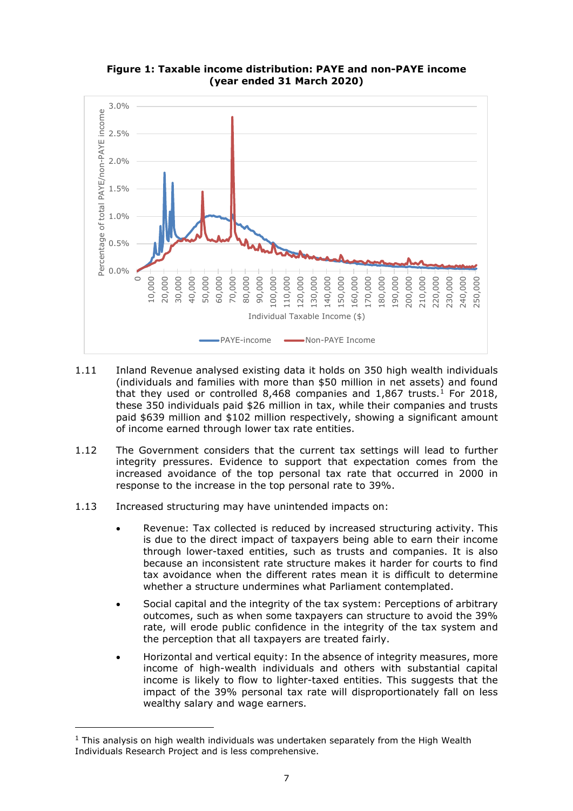

**Figure 1: Taxable income distribution: PAYE and non-PAYE income (year ended 31 March 2020)**

- 1.11 Inland Revenue analysed existing data it holds on 350 high wealth individuals (individuals and families with more than \$50 million in net assets) and found that they used or controlled 8,468 companies and  $1,867$  $1,867$  trusts.<sup>1</sup> For 2018, these 350 individuals paid \$26 million in tax, while their companies and trusts paid \$639 million and \$102 million respectively, showing a significant amount of income earned through lower tax rate entities.
- 1.12 The Government considers that the current tax settings will lead to further integrity pressures. Evidence to support that expectation comes from the increased avoidance of the top personal tax rate that occurred in 2000 in response to the increase in the top personal rate to 39%.
- 1.13 Increased structuring may have unintended impacts on:
	- Revenue: Tax collected is reduced by increased structuring activity. This is due to the direct impact of taxpayers being able to earn their income through lower-taxed entities, such as trusts and companies. It is also because an inconsistent rate structure makes it harder for courts to find tax avoidance when the different rates mean it is difficult to determine whether a structure undermines what Parliament contemplated.
	- Social capital and the integrity of the tax system: Perceptions of arbitrary outcomes, such as when some taxpayers can structure to avoid the 39% rate, will erode public confidence in the integrity of the tax system and the perception that all taxpayers are treated fairly.
	- Horizontal and vertical equity: In the absence of integrity measures, more income of high-wealth individuals and others with substantial capital income is likely to flow to lighter-taxed entities. This suggests that the impact of the 39% personal tax rate will disproportionately fall on less wealthy salary and wage earners.

<span id="page-6-0"></span> $<sup>1</sup>$  This analysis on high wealth individuals was undertaken separately from the High Wealth</sup> Individuals Research Project and is less comprehensive.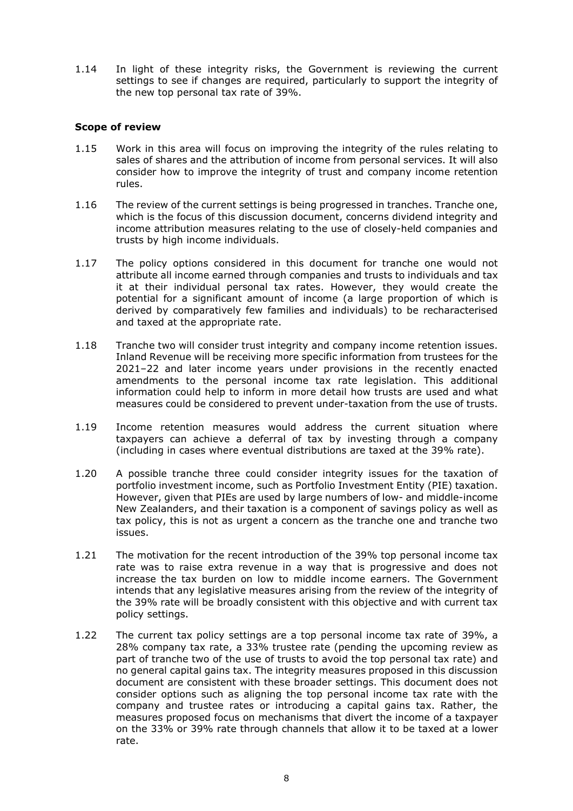1.14 In light of these integrity risks, the Government is reviewing the current settings to see if changes are required, particularly to support the integrity of the new top personal tax rate of 39%.

#### **Scope of review**

- 1.15 Work in this area will focus on improving the integrity of the rules relating to sales of shares and the attribution of income from personal services. It will also consider how to improve the integrity of trust and company income retention rules.
- 1.16 The review of the current settings is being progressed in tranches. Tranche one, which is the focus of this discussion document, concerns dividend integrity and income attribution measures relating to the use of closely-held companies and trusts by high income individuals.
- 1.17 The policy options considered in this document for tranche one would not attribute all income earned through companies and trusts to individuals and tax it at their individual personal tax rates. However, they would create the potential for a significant amount of income (a large proportion of which is derived by comparatively few families and individuals) to be recharacterised and taxed at the appropriate rate.
- 1.18 Tranche two will consider trust integrity and company income retention issues. Inland Revenue will be receiving more specific information from trustees for the 2021–22 and later income years under provisions in the recently enacted amendments to the personal income tax rate legislation. This additional information could help to inform in more detail how trusts are used and what measures could be considered to prevent under-taxation from the use of trusts.
- 1.19 Income retention measures would address the current situation where taxpayers can achieve a deferral of tax by investing through a company (including in cases where eventual distributions are taxed at the 39% rate).
- 1.20 A possible tranche three could consider integrity issues for the taxation of portfolio investment income, such as Portfolio Investment Entity (PIE) taxation. However, given that PIEs are used by large numbers of low- and middle-income New Zealanders, and their taxation is a component of savings policy as well as tax policy, this is not as urgent a concern as the tranche one and tranche two issues.
- 1.21 The motivation for the recent introduction of the 39% top personal income tax rate was to raise extra revenue in a way that is progressive and does not increase the tax burden on low to middle income earners. The Government intends that any legislative measures arising from the review of the integrity of the 39% rate will be broadly consistent with this objective and with current tax policy settings.
- 1.22 The current tax policy settings are a top personal income tax rate of 39%, a 28% company tax rate, a 33% trustee rate (pending the upcoming review as part of tranche two of the use of trusts to avoid the top personal tax rate) and no general capital gains tax. The integrity measures proposed in this discussion document are consistent with these broader settings. This document does not consider options such as aligning the top personal income tax rate with the company and trustee rates or introducing a capital gains tax. Rather, the measures proposed focus on mechanisms that divert the income of a taxpayer on the 33% or 39% rate through channels that allow it to be taxed at a lower rate.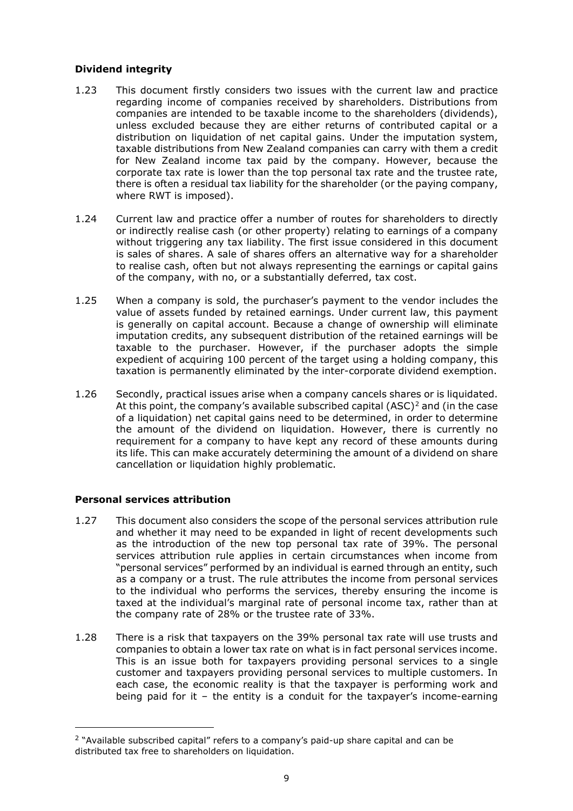#### **Dividend integrity**

- 1.23 This document firstly considers two issues with the current law and practice regarding income of companies received by shareholders. Distributions from companies are intended to be taxable income to the shareholders (dividends), unless excluded because they are either returns of contributed capital or a distribution on liquidation of net capital gains. Under the imputation system, taxable distributions from New Zealand companies can carry with them a credit for New Zealand income tax paid by the company. However, because the corporate tax rate is lower than the top personal tax rate and the trustee rate, there is often a residual tax liability for the shareholder (or the paying company, where RWT is imposed).
- 1.24 Current law and practice offer a number of routes for shareholders to directly or indirectly realise cash (or other property) relating to earnings of a company without triggering any tax liability. The first issue considered in this document is sales of shares. A sale of shares offers an alternative way for a shareholder to realise cash, often but not always representing the earnings or capital gains of the company, with no, or a substantially deferred, tax cost.
- 1.25 When a company is sold, the purchaser's payment to the vendor includes the value of assets funded by retained earnings. Under current law, this payment is generally on capital account. Because a change of ownership will eliminate imputation credits, any subsequent distribution of the retained earnings will be taxable to the purchaser. However, if the purchaser adopts the simple expedient of acquiring 100 percent of the target using a holding company, this taxation is permanently eliminated by the inter-corporate dividend exemption.
- 1.26 Secondly, practical issues arise when a company cancels shares or is liquidated. At this point, the company's available subscribed capital  $(ASC)^2$  $(ASC)^2$  and (in the case of a liquidation) net capital gains need to be determined, in order to determine the amount of the dividend on liquidation. However, there is currently no requirement for a company to have kept any record of these amounts during its life. This can make accurately determining the amount of a dividend on share cancellation or liquidation highly problematic.

## **Personal services attribution**

- 1.27 This document also considers the scope of the personal services attribution rule and whether it may need to be expanded in light of recent developments such as the introduction of the new top personal tax rate of 39%. The personal services attribution rule applies in certain circumstances when income from "personal services" performed by an individual is earned through an entity, such as a company or a trust. The rule attributes the income from personal services to the individual who performs the services, thereby ensuring the income is taxed at the individual's marginal rate of personal income tax, rather than at the company rate of 28% or the trustee rate of 33%.
- 1.28 There is a risk that taxpayers on the 39% personal tax rate will use trusts and companies to obtain a lower tax rate on what is in fact personal services income. This is an issue both for taxpayers providing personal services to a single customer and taxpayers providing personal services to multiple customers. In each case, the economic reality is that the taxpayer is performing work and being paid for it – the entity is a conduit for the taxpayer's income-earning

<span id="page-8-0"></span><sup>&</sup>lt;sup>2</sup> "Available subscribed capital" refers to a company's paid-up share capital and can be distributed tax free to shareholders on liquidation.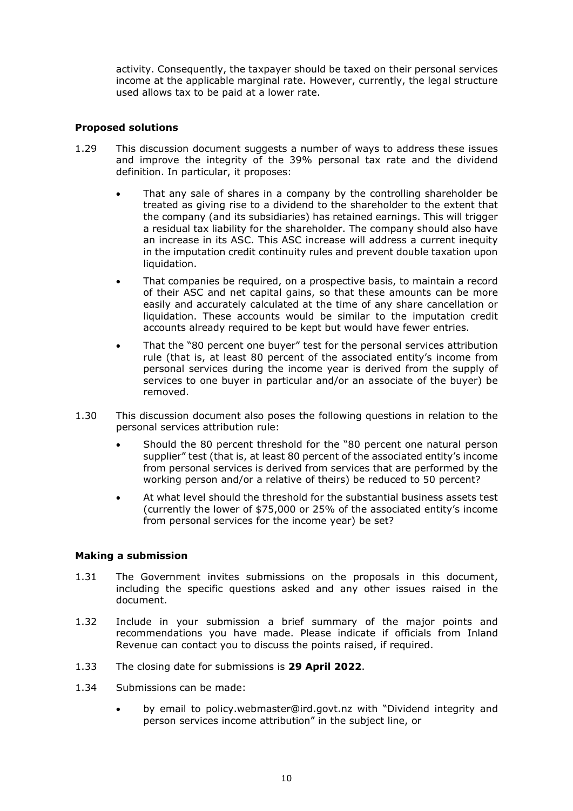activity. Consequently, the taxpayer should be taxed on their personal services income at the applicable marginal rate. However, currently, the legal structure used allows tax to be paid at a lower rate.

#### **Proposed solutions**

- 1.29 This discussion document suggests a number of ways to address these issues and improve the integrity of the 39% personal tax rate and the dividend definition. In particular, it proposes:
	- That any sale of shares in a company by the controlling shareholder be treated as giving rise to a dividend to the shareholder to the extent that the company (and its subsidiaries) has retained earnings. This will trigger a residual tax liability for the shareholder. The company should also have an increase in its ASC. This ASC increase will address a current inequity in the imputation credit continuity rules and prevent double taxation upon liquidation.
	- That companies be required, on a prospective basis, to maintain a record of their ASC and net capital gains, so that these amounts can be more easily and accurately calculated at the time of any share cancellation or liquidation. These accounts would be similar to the imputation credit accounts already required to be kept but would have fewer entries.
	- That the "80 percent one buyer" test for the personal services attribution rule (that is, at least 80 percent of the associated entity's income from personal services during the income year is derived from the supply of services to one buyer in particular and/or an associate of the buyer) be removed.
- 1.30 This discussion document also poses the following questions in relation to the personal services attribution rule:
	- Should the 80 percent threshold for the "80 percent one natural person supplier" test (that is, at least 80 percent of the associated entity's income from personal services is derived from services that are performed by the working person and/or a relative of theirs) be reduced to 50 percent?
	- At what level should the threshold for the substantial business assets test (currently the lower of \$75,000 or 25% of the associated entity's income from personal services for the income year) be set?

#### **Making a submission**

- 1.31 The Government invites submissions on the proposals in this document, including the specific questions asked and any other issues raised in the document.
- 1.32 Include in your submission a brief summary of the major points and recommendations you have made. Please indicate if officials from Inland Revenue can contact you to discuss the points raised, if required.
- 1.33 The closing date for submissions is **29 April 2022**.
- 1.34 Submissions can be made:
	- by email to policy.webmaster@ird.govt.nz with "Dividend integrity and person services income attribution" in the subject line, or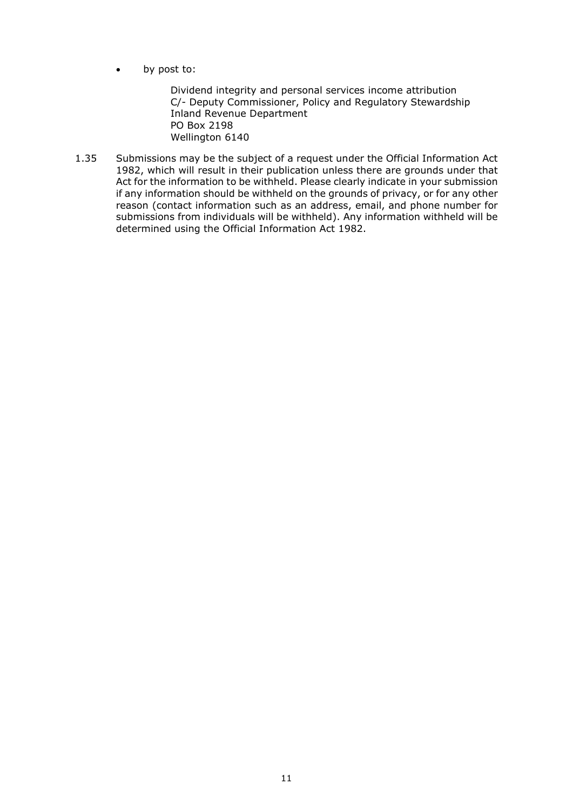by post to:

Dividend integrity and personal services income attribution C/- Deputy Commissioner, Policy and Regulatory Stewardship Inland Revenue Department PO Box 2198 Wellington 6140

1.35 Submissions may be the subject of a request under the Official Information Act 1982, which will result in their publication unless there are grounds under that Act for the information to be withheld. Please clearly indicate in your submission if any information should be withheld on the grounds of privacy, or for any other reason (contact information such as an address, email, and phone number for submissions from individuals will be withheld). Any information withheld will be determined using the Official Information Act 1982.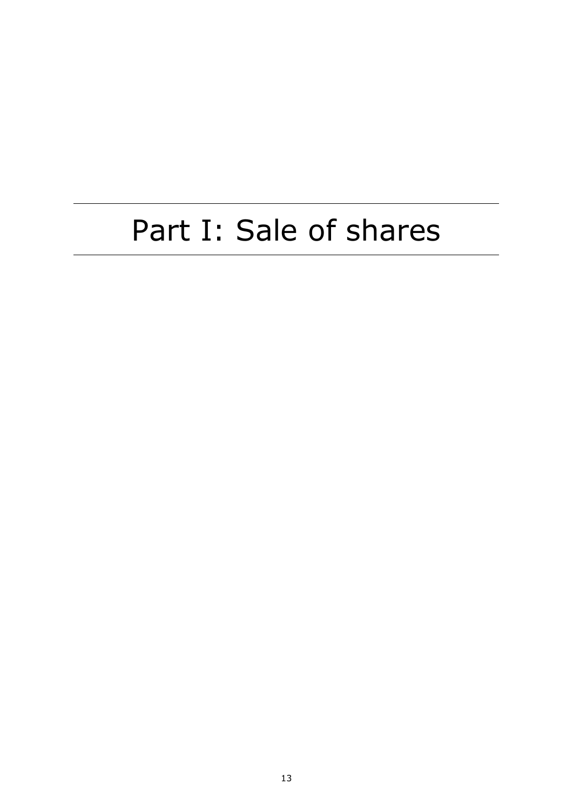# Part I: Sale of shares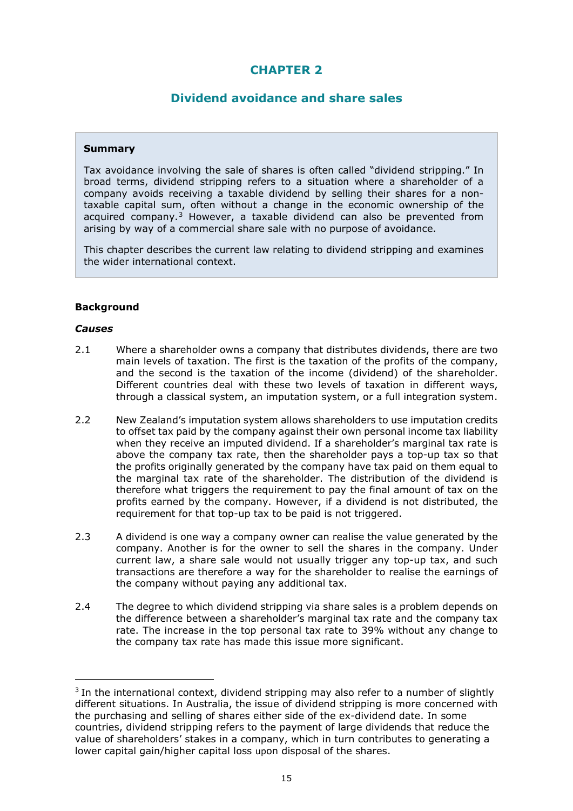# **CHAPTER 2**

## **Dividend avoidance and share sales**

#### **Summary**

Tax avoidance involving the sale of shares is often called "dividend stripping." In broad terms, dividend stripping refers to a situation where a shareholder of a company avoids receiving a taxable dividend by selling their shares for a nontaxable capital sum, often without a change in the economic ownership of the acquired company.<sup>[3](#page-14-0)</sup> However, a taxable dividend can also be prevented from arising by way of a commercial share sale with no purpose of avoidance.

This chapter describes the current law relating to dividend stripping and examines the wider international context.

## **Background**

#### *Causes*

- 2.1 Where a shareholder owns a company that distributes dividends, there are two main levels of taxation. The first is the taxation of the profits of the company, and the second is the taxation of the income (dividend) of the shareholder. Different countries deal with these two levels of taxation in different ways, through a classical system, an imputation system, or a full integration system.
- 2.2 New Zealand's imputation system allows shareholders to use imputation credits to offset tax paid by the company against their own personal income tax liability when they receive an imputed dividend. If a shareholder's marginal tax rate is above the company tax rate, then the shareholder pays a top-up tax so that the profits originally generated by the company have tax paid on them equal to the marginal tax rate of the shareholder. The distribution of the dividend is therefore what triggers the requirement to pay the final amount of tax on the profits earned by the company. However, if a dividend is not distributed, the requirement for that top-up tax to be paid is not triggered.
- 2.3 A dividend is one way a company owner can realise the value generated by the company. Another is for the owner to sell the shares in the company. Under current law, a share sale would not usually trigger any top-up tax, and such transactions are therefore a way for the shareholder to realise the earnings of the company without paying any additional tax.
- 2.4 The degree to which dividend stripping via share sales is a problem depends on the difference between a shareholder's marginal tax rate and the company tax rate. The increase in the top personal tax rate to 39% without any change to the company tax rate has made this issue more significant.

<span id="page-14-0"></span><sup>&</sup>lt;sup>3</sup> In the international context, dividend stripping may also refer to a number of slightly different situations. In Australia, the issue of dividend stripping is more concerned with the purchasing and selling of shares either side of the ex-dividend date. In some countries, dividend stripping refers to the payment of large dividends that reduce the value of shareholders' stakes in a company, which in turn contributes to generating a lower capital gain/higher capital loss upon disposal of the shares.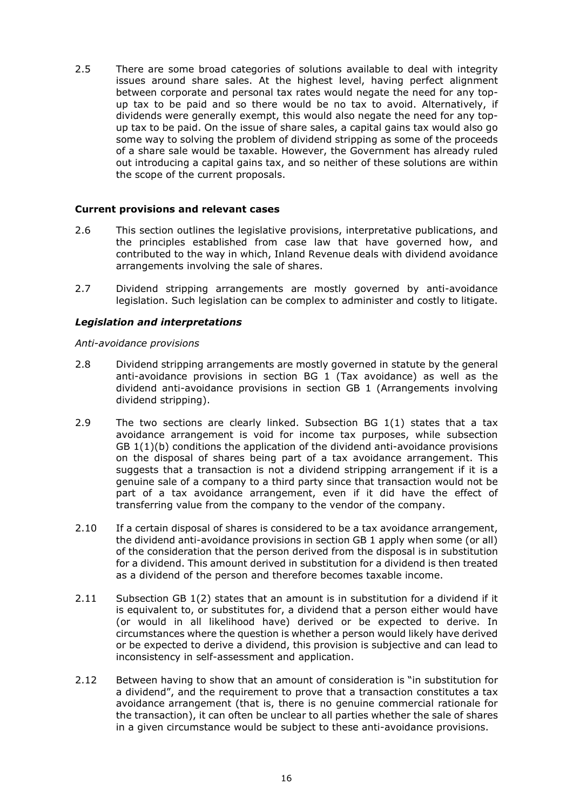2.5 There are some broad categories of solutions available to deal with integrity issues around share sales. At the highest level, having perfect alignment between corporate and personal tax rates would negate the need for any topup tax to be paid and so there would be no tax to avoid. Alternatively, if dividends were generally exempt, this would also negate the need for any topup tax to be paid. On the issue of share sales, a capital gains tax would also go some way to solving the problem of dividend stripping as some of the proceeds of a share sale would be taxable. However, the Government has already ruled out introducing a capital gains tax, and so neither of these solutions are within the scope of the current proposals.

#### **Current provisions and relevant cases**

- 2.6 This section outlines the legislative provisions, interpretative publications, and the principles established from case law that have governed how, and contributed to the way in which, Inland Revenue deals with dividend avoidance arrangements involving the sale of shares.
- 2.7 Dividend stripping arrangements are mostly governed by anti-avoidance legislation. Such legislation can be complex to administer and costly to litigate.

#### *Legislation and interpretations*

#### *Anti-avoidance provisions*

- 2.8 Dividend stripping arrangements are mostly governed in statute by the general anti-avoidance provisions in section BG 1 (Tax avoidance) as well as the dividend anti-avoidance provisions in section GB 1 (Arrangements involving dividend stripping).
- 2.9 The two sections are clearly linked. Subsection BG 1(1) states that a tax avoidance arrangement is void for income tax purposes, while subsection GB  $1(1)(b)$  conditions the application of the dividend anti-avoidance provisions on the disposal of shares being part of a tax avoidance arrangement. This suggests that a transaction is not a dividend stripping arrangement if it is a genuine sale of a company to a third party since that transaction would not be part of a tax avoidance arrangement, even if it did have the effect of transferring value from the company to the vendor of the company.
- 2.10 If a certain disposal of shares is considered to be a tax avoidance arrangement, the dividend anti-avoidance provisions in section GB 1 apply when some (or all) of the consideration that the person derived from the disposal is in substitution for a dividend. This amount derived in substitution for a dividend is then treated as a dividend of the person and therefore becomes taxable income.
- 2.11 Subsection GB 1(2) states that an amount is in substitution for a dividend if it is equivalent to, or substitutes for, a dividend that a person either would have (or would in all likelihood have) derived or be expected to derive. In circumstances where the question is whether a person would likely have derived or be expected to derive a dividend, this provision is subjective and can lead to inconsistency in self-assessment and application.
- 2.12 Between having to show that an amount of consideration is "in substitution for a dividend", and the requirement to prove that a transaction constitutes a tax avoidance arrangement (that is, there is no genuine commercial rationale for the transaction), it can often be unclear to all parties whether the sale of shares in a given circumstance would be subject to these anti-avoidance provisions.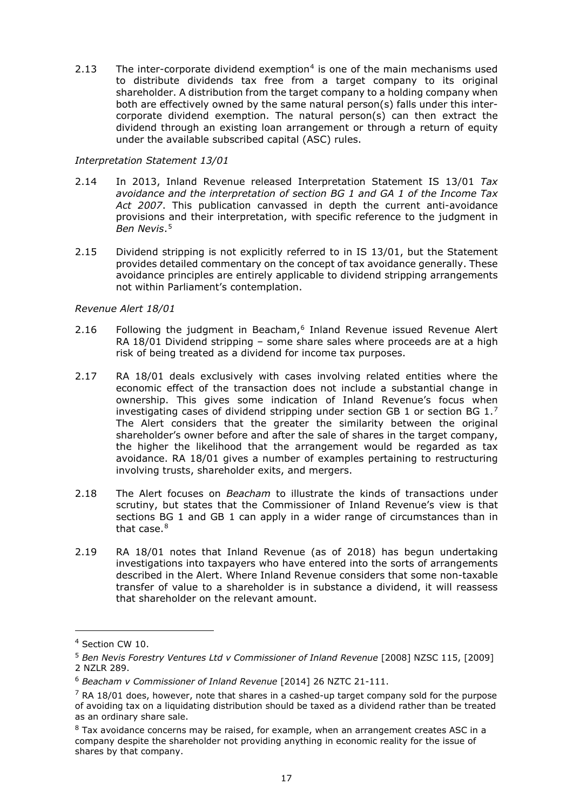2.13 The inter-corporate dividend exemption<sup>[4](#page-16-0)</sup> is one of the main mechanisms used to distribute dividends tax free from a target company to its original shareholder. A distribution from the target company to a holding company when both are effectively owned by the same natural person(s) falls under this intercorporate dividend exemption. The natural person(s) can then extract the dividend through an existing loan arrangement or through a return of equity under the available subscribed capital (ASC) rules.

#### *Interpretation Statement 13/01*

- 2.14 In 2013, Inland Revenue released Interpretation Statement IS 13/01 *Tax avoidance and the interpretation of section BG 1 and GA 1 of the Income Tax Act 2007*. This publication canvassed in depth the current anti-avoidance provisions and their interpretation, with specific reference to the judgment in *Ben Nevis*.[5](#page-16-1)
- 2.15 Dividend stripping is not explicitly referred to in IS 13/01, but the Statement provides detailed commentary on the concept of tax avoidance generally. These avoidance principles are entirely applicable to dividend stripping arrangements not within Parliament's contemplation.

#### *Revenue Alert 18/01*

- 2.1[6](#page-16-2) Following the judgment in Beacham,<sup>6</sup> Inland Revenue issued Revenue Alert RA 18/01 Dividend stripping – some share sales where proceeds are at a high risk of being treated as a dividend for income tax purposes.
- 2.17 RA 18/01 deals exclusively with cases involving related entities where the economic effect of the transaction does not include a substantial change in ownership. This gives some indication of Inland Revenue's focus when investigating cases of dividend stripping under section GB 1 or section BG  $1.^7$  $1.^7$ The Alert considers that the greater the similarity between the original shareholder's owner before and after the sale of shares in the target company, the higher the likelihood that the arrangement would be regarded as tax avoidance. RA 18/01 gives a number of examples pertaining to restructuring involving trusts, shareholder exits, and mergers.
- 2.18 The Alert focuses on *Beacham* to illustrate the kinds of transactions under scrutiny, but states that the Commissioner of Inland Revenue's view is that sections BG 1 and GB 1 can apply in a wider range of circumstances than in that case. $8$
- 2.19 RA 18/01 notes that Inland Revenue (as of 2018) has begun undertaking investigations into taxpayers who have entered into the sorts of arrangements described in the Alert. Where Inland Revenue considers that some non-taxable transfer of value to a shareholder is in substance a dividend, it will reassess that shareholder on the relevant amount.

<span id="page-16-0"></span><sup>4</sup> Section CW 10.

<span id="page-16-1"></span><sup>5</sup> *Ben Nevis Forestry Ventures Ltd v Commissioner of Inland Revenue* [2008] NZSC 115, [2009] 2 NZLR 289.

<span id="page-16-2"></span><sup>6</sup> *Beacham v Commissioner of Inland Revenue* [2014] 26 NZTC 21-111.

<span id="page-16-3"></span> $7$  RA 18/01 does, however, note that shares in a cashed-up target company sold for the purpose of avoiding tax on a liquidating distribution should be taxed as a dividend rather than be treated as an ordinary share sale.

<span id="page-16-4"></span> $8$  Tax avoidance concerns may be raised, for example, when an arrangement creates ASC in a company despite the shareholder not providing anything in economic reality for the issue of shares by that company.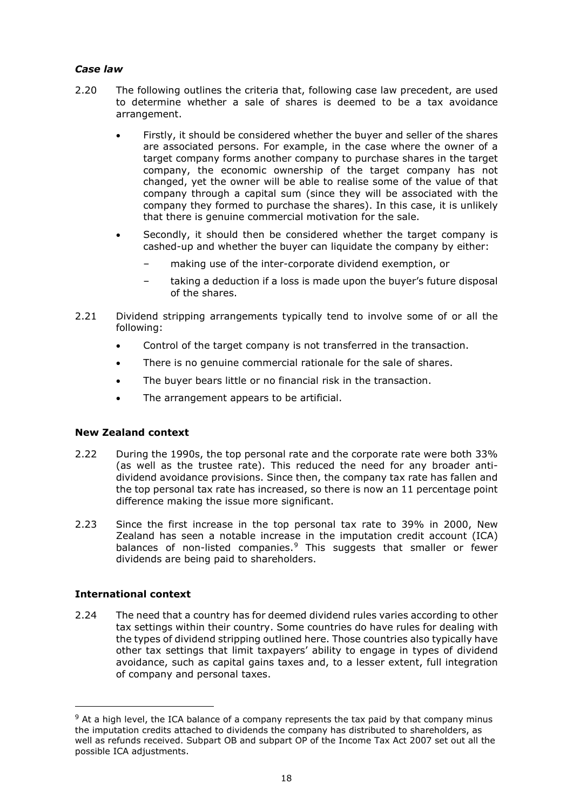## *Case law*

- 2.20 The following outlines the criteria that, following case law precedent, are used to determine whether a sale of shares is deemed to be a tax avoidance arrangement.
	- Firstly, it should be considered whether the buyer and seller of the shares are associated persons. For example, in the case where the owner of a target company forms another company to purchase shares in the target company, the economic ownership of the target company has not changed, yet the owner will be able to realise some of the value of that company through a capital sum (since they will be associated with the company they formed to purchase the shares). In this case, it is unlikely that there is genuine commercial motivation for the sale.
	- Secondly, it should then be considered whether the target company is cashed-up and whether the buyer can liquidate the company by either:
		- making use of the inter-corporate dividend exemption, or
		- taking a deduction if a loss is made upon the buyer's future disposal of the shares.
- 2.21 Dividend stripping arrangements typically tend to involve some of or all the following:
	- Control of the target company is not transferred in the transaction.
	- There is no genuine commercial rationale for the sale of shares.
	- The buyer bears little or no financial risk in the transaction.
	- The arrangement appears to be artificial.

## **New Zealand context**

- 2.22 During the 1990s, the top personal rate and the corporate rate were both 33% (as well as the trustee rate). This reduced the need for any broader antidividend avoidance provisions. Since then, the company tax rate has fallen and the top personal tax rate has increased, so there is now an 11 percentage point difference making the issue more significant.
- 2.23 Since the first increase in the top personal tax rate to 39% in 2000, New Zealand has seen a notable increase in the imputation credit account (ICA) balances of non-listed companies.<sup>[9](#page-17-0)</sup> This suggests that smaller or fewer dividends are being paid to shareholders.

## **International context**

2.24 The need that a country has for deemed dividend rules varies according to other tax settings within their country. Some countries do have rules for dealing with the types of dividend stripping outlined here. Those countries also typically have other tax settings that limit taxpayers' ability to engage in types of dividend avoidance, such as capital gains taxes and, to a lesser extent, full integration of company and personal taxes.

<span id="page-17-0"></span> $9$  At a high level, the ICA balance of a company represents the tax paid by that company minus the imputation credits attached to dividends the company has distributed to shareholders, as well as refunds received. Subpart OB and subpart OP of the Income Tax Act 2007 set out all the possible ICA adjustments.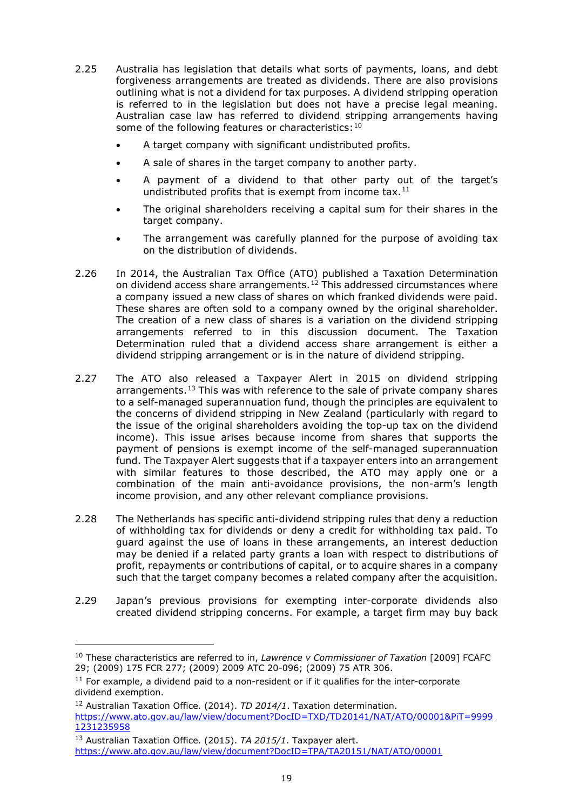- 2.25 Australia has legislation that details what sorts of payments, loans, and debt forgiveness arrangements are treated as dividends. There are also provisions outlining what is not a dividend for tax purposes. A dividend stripping operation is referred to in the legislation but does not have a precise legal meaning. Australian case law has referred to dividend stripping arrangements having some of the following features or characteristics: [10](#page-18-0)
	- A target company with significant undistributed profits.
	- A sale of shares in the target company to another party.
	- A payment of a dividend to that other party out of the target's undistributed profits that is exempt from income tax. $^{11}$  $^{11}$  $^{11}$
	- The original shareholders receiving a capital sum for their shares in the target company.
	- The arrangement was carefully planned for the purpose of avoiding tax on the distribution of dividends.
- 2.26 In 2014, the Australian Tax Office (ATO) published a Taxation Determination on dividend access share arrangements.<sup>[12](#page-18-2)</sup> This addressed circumstances where a company issued a new class of shares on which franked dividends were paid. These shares are often sold to a company owned by the original shareholder. The creation of a new class of shares is a variation on the dividend stripping arrangements referred to in this discussion document. The Taxation Determination ruled that a dividend access share arrangement is either a dividend stripping arrangement or is in the nature of dividend stripping.
- 2.27 The ATO also released a Taxpayer Alert in 2015 on dividend stripping arrangements.<sup>[13](#page-18-3)</sup> This was with reference to the sale of private company shares to a self-managed superannuation fund, though the principles are equivalent to the concerns of dividend stripping in New Zealand (particularly with regard to the issue of the original shareholders avoiding the top-up tax on the dividend income). This issue arises because income from shares that supports the payment of pensions is exempt income of the self-managed superannuation fund. The Taxpayer Alert suggests that if a taxpayer enters into an arrangement with similar features to those described, the ATO may apply one or a combination of the main anti-avoidance provisions, the non-arm's length income provision, and any other relevant compliance provisions.
- 2.28 The Netherlands has specific anti-dividend stripping rules that deny a reduction of withholding tax for dividends or deny a credit for withholding tax paid. To guard against the use of loans in these arrangements, an interest deduction may be denied if a related party grants a loan with respect to distributions of profit, repayments or contributions of capital, or to acquire shares in a company such that the target company becomes a related company after the acquisition.
- 2.29 Japan's previous provisions for exempting inter-corporate dividends also created dividend stripping concerns. For example, a target firm may buy back

<span id="page-18-0"></span><sup>10</sup> These characteristics are referred to in, *Lawrence v Commissioner of Taxation* [2009] FCAFC 29; (2009) 175 FCR 277; (2009) 2009 ATC 20-096; (2009) 75 ATR 306.

<span id="page-18-1"></span> $11$  For example, a dividend paid to a non-resident or if it qualifies for the inter-corporate dividend exemption.

<span id="page-18-2"></span><sup>12</sup> Australian Taxation Office. (2014). *TD 2014/1*. Taxation determination. [https://www.ato.gov.au/law/view/document?DocID=TXD/TD20141/NAT/ATO/00001&PiT=9999](https://www.ato.gov.au/law/view/document?DocID=TXD/TD20141/NAT/ATO/00001&PiT=99991231235958) [1231235958](https://www.ato.gov.au/law/view/document?DocID=TXD/TD20141/NAT/ATO/00001&PiT=99991231235958)

<span id="page-18-3"></span><sup>13</sup> Australian Taxation Office. (2015). *TA 2015/1*. Taxpayer alert. <https://www.ato.gov.au/law/view/document?DocID=TPA/TA20151/NAT/ATO/00001>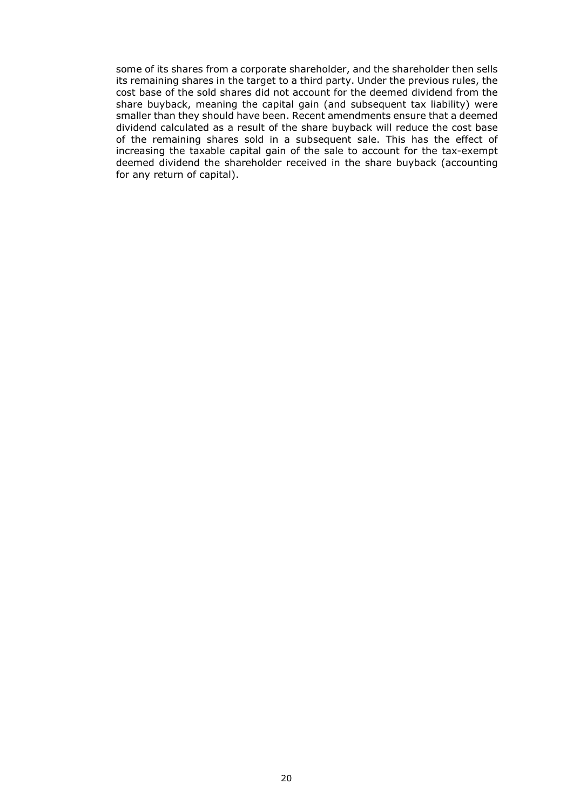some of its shares from a corporate shareholder, and the shareholder then sells its remaining shares in the target to a third party. Under the previous rules, the cost base of the sold shares did not account for the deemed dividend from the share buyback, meaning the capital gain (and subsequent tax liability) were smaller than they should have been. Recent amendments ensure that a deemed dividend calculated as a result of the share buyback will reduce the cost base of the remaining shares sold in a subsequent sale. This has the effect of increasing the taxable capital gain of the sale to account for the tax-exempt deemed dividend the shareholder received in the share buyback (accounting for any return of capital).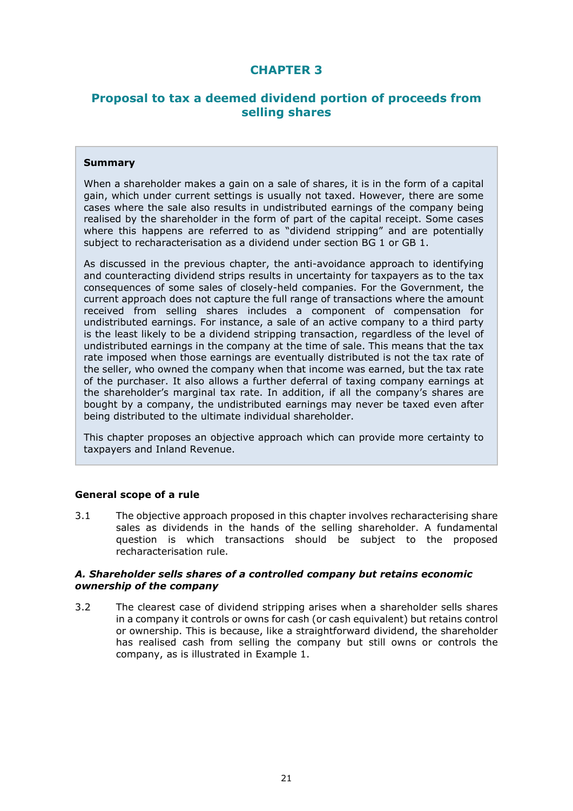# **CHAPTER 3**

## **Proposal to tax a deemed dividend portion of proceeds from selling shares**

#### **Summary**

When a shareholder makes a gain on a sale of shares, it is in the form of a capital gain, which under current settings is usually not taxed. However, there are some cases where the sale also results in undistributed earnings of the company being realised by the shareholder in the form of part of the capital receipt. Some cases where this happens are referred to as "dividend stripping" and are potentially subject to recharacterisation as a dividend under section BG 1 or GB 1.

As discussed in the previous chapter, the anti-avoidance approach to identifying and counteracting dividend strips results in uncertainty for taxpayers as to the tax consequences of some sales of closely-held companies. For the Government, the current approach does not capture the full range of transactions where the amount received from selling shares includes a component of compensation for undistributed earnings. For instance, a sale of an active company to a third party is the least likely to be a dividend stripping transaction, regardless of the level of undistributed earnings in the company at the time of sale. This means that the tax rate imposed when those earnings are eventually distributed is not the tax rate of the seller, who owned the company when that income was earned, but the tax rate of the purchaser. It also allows a further deferral of taxing company earnings at the shareholder's marginal tax rate. In addition, if all the company's shares are bought by a company, the undistributed earnings may never be taxed even after being distributed to the ultimate individual shareholder.

This chapter proposes an objective approach which can provide more certainty to taxpayers and Inland Revenue.

#### **General scope of a rule**

3.1 The objective approach proposed in this chapter involves recharacterising share sales as dividends in the hands of the selling shareholder. A fundamental question is which transactions should be subject to the proposed recharacterisation rule.

#### *A. Shareholder sells shares of a controlled company but retains economic ownership of the company*

3.2 The clearest case of dividend stripping arises when a shareholder sells shares in a company it controls or owns for cash (or cash equivalent) but retains control or ownership. This is because, like a straightforward dividend, the shareholder has realised cash from selling the company but still owns or controls the company, as is illustrated in Example 1.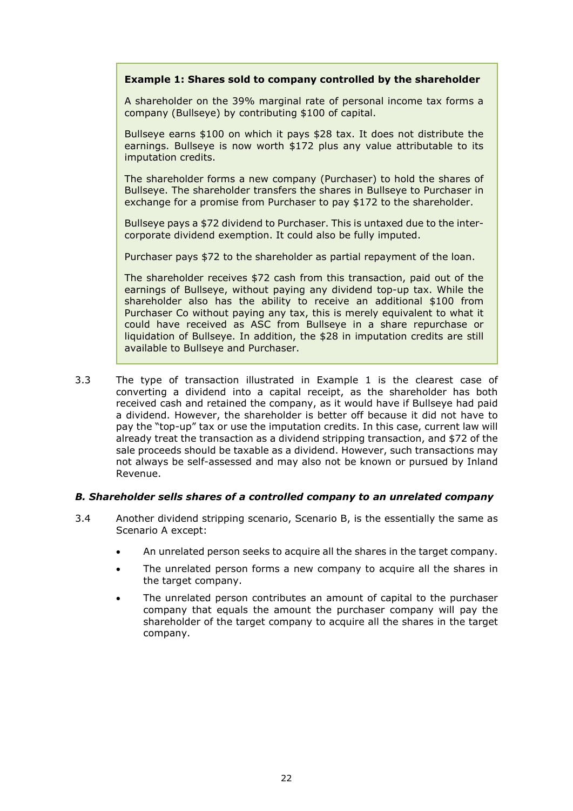#### **Example 1: Shares sold to company controlled by the shareholder**

A shareholder on the 39% marginal rate of personal income tax forms a company (Bullseye) by contributing \$100 of capital.

Bullseye earns \$100 on which it pays \$28 tax. It does not distribute the earnings. Bullseye is now worth \$172 plus any value attributable to its imputation credits.

The shareholder forms a new company (Purchaser) to hold the shares of Bullseye. The shareholder transfers the shares in Bullseye to Purchaser in exchange for a promise from Purchaser to pay \$172 to the shareholder.

Bullseye pays a \$72 dividend to Purchaser. This is untaxed due to the intercorporate dividend exemption. It could also be fully imputed.

Purchaser pays \$72 to the shareholder as partial repayment of the loan.

The shareholder receives \$72 cash from this transaction, paid out of the earnings of Bullseye, without paying any dividend top-up tax. While the shareholder also has the ability to receive an additional \$100 from Purchaser Co without paying any tax, this is merely equivalent to what it could have received as ASC from Bullseye in a share repurchase or liquidation of Bullseye. In addition, the \$28 in imputation credits are still available to Bullseye and Purchaser.

3.3 The type of transaction illustrated in Example 1 is the clearest case of converting a dividend into a capital receipt, as the shareholder has both received cash and retained the company, as it would have if Bullseye had paid a dividend. However, the shareholder is better off because it did not have to pay the "top-up" tax or use the imputation credits. In this case, current law will already treat the transaction as a dividend stripping transaction, and \$72 of the sale proceeds should be taxable as a dividend. However, such transactions may not always be self-assessed and may also not be known or pursued by Inland Revenue.

#### *B. Shareholder sells shares of a controlled company to an unrelated company*

- 3.4 Another dividend stripping scenario, Scenario B, is the essentially the same as Scenario A except:
	- An unrelated person seeks to acquire all the shares in the target company.
	- The unrelated person forms a new company to acquire all the shares in the target company.
	- The unrelated person contributes an amount of capital to the purchaser company that equals the amount the purchaser company will pay the shareholder of the target company to acquire all the shares in the target company.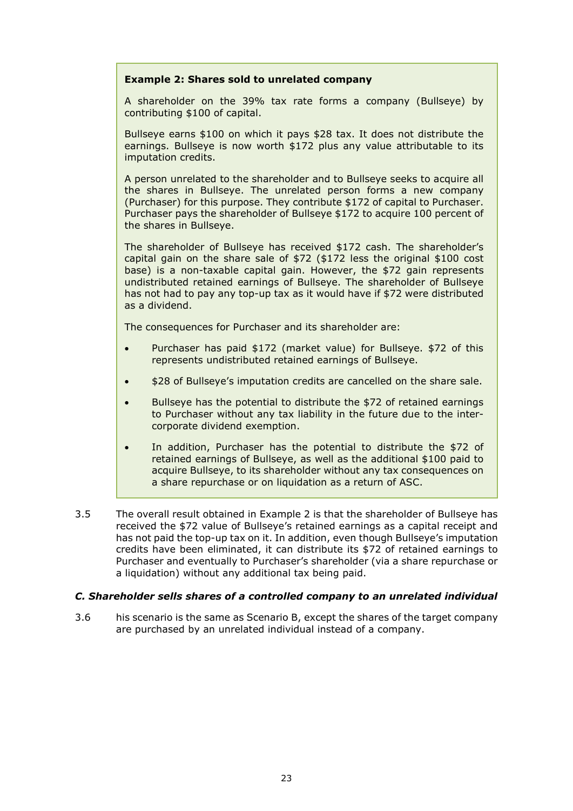#### **Example 2: Shares sold to unrelated company**

A shareholder on the 39% tax rate forms a company (Bullseye) by contributing \$100 of capital.

Bullseye earns \$100 on which it pays \$28 tax. It does not distribute the earnings. Bullseye is now worth \$172 plus any value attributable to its imputation credits.

A person unrelated to the shareholder and to Bullseye seeks to acquire all the shares in Bullseye. The unrelated person forms a new company (Purchaser) for this purpose. They contribute \$172 of capital to Purchaser. Purchaser pays the shareholder of Bullseye \$172 to acquire 100 percent of the shares in Bullseye.

The shareholder of Bullseye has received \$172 cash. The shareholder's capital gain on the share sale of \$72 (\$172 less the original \$100 cost base) is a non-taxable capital gain. However, the \$72 gain represents undistributed retained earnings of Bullseye. The shareholder of Bullseye has not had to pay any top-up tax as it would have if \$72 were distributed as a dividend.

The consequences for Purchaser and its shareholder are:

- Purchaser has paid \$172 (market value) for Bullseye. \$72 of this represents undistributed retained earnings of Bullseye.
- \$28 of Bullseye's imputation credits are cancelled on the share sale.
- Bullseye has the potential to distribute the \$72 of retained earnings to Purchaser without any tax liability in the future due to the intercorporate dividend exemption.
- In addition, Purchaser has the potential to distribute the \$72 of retained earnings of Bullseye, as well as the additional \$100 paid to acquire Bullseye, to its shareholder without any tax consequences on a share repurchase or on liquidation as a return of ASC.
- 3.5 The overall result obtained in Example 2 is that the shareholder of Bullseye has received the \$72 value of Bullseye's retained earnings as a capital receipt and has not paid the top-up tax on it. In addition, even though Bullseye's imputation credits have been eliminated, it can distribute its \$72 of retained earnings to Purchaser and eventually to Purchaser's shareholder (via a share repurchase or a liquidation) without any additional tax being paid.

#### *C. Shareholder sells shares of a controlled company to an unrelated individual*

3.6 his scenario is the same as Scenario B, except the shares of the target company are purchased by an unrelated individual instead of a company.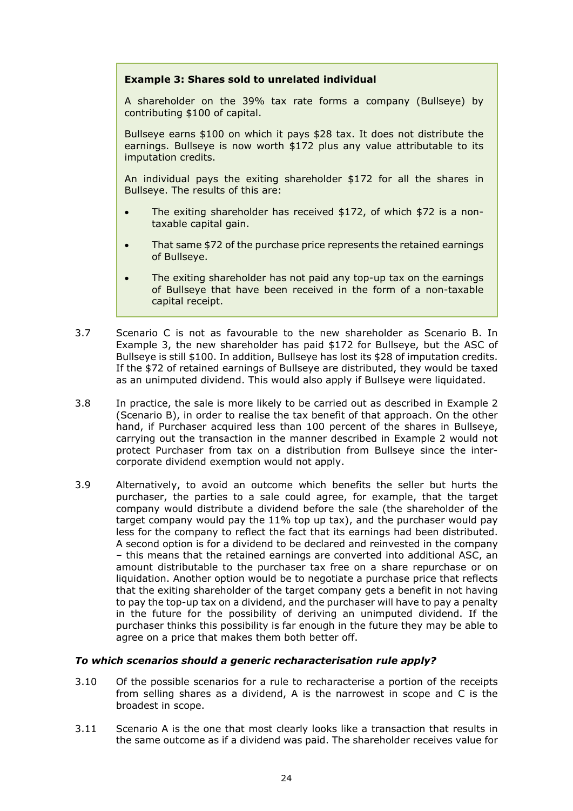#### **Example 3: Shares sold to unrelated individual**

A shareholder on the 39% tax rate forms a company (Bullseye) by contributing \$100 of capital.

Bullseye earns \$100 on which it pays \$28 tax. It does not distribute the earnings. Bullseye is now worth \$172 plus any value attributable to its imputation credits.

An individual pays the exiting shareholder \$172 for all the shares in Bullseye. The results of this are:

- The exiting shareholder has received \$172, of which \$72 is a nontaxable capital gain.
- That same \$72 of the purchase price represents the retained earnings of Bullseye.
- The exiting shareholder has not paid any top-up tax on the earnings of Bullseye that have been received in the form of a non-taxable capital receipt.
- 3.7 Scenario C is not as favourable to the new shareholder as Scenario B. In Example 3, the new shareholder has paid \$172 for Bullseye, but the ASC of Bullseye is still \$100. In addition, Bullseye has lost its \$28 of imputation credits. If the \$72 of retained earnings of Bullseye are distributed, they would be taxed as an unimputed dividend. This would also apply if Bullseye were liquidated.
- 3.8 In practice, the sale is more likely to be carried out as described in Example 2 (Scenario B), in order to realise the tax benefit of that approach. On the other hand, if Purchaser acquired less than 100 percent of the shares in Bullseye, carrying out the transaction in the manner described in Example 2 would not protect Purchaser from tax on a distribution from Bullseye since the intercorporate dividend exemption would not apply.
- 3.9 Alternatively, to avoid an outcome which benefits the seller but hurts the purchaser, the parties to a sale could agree, for example, that the target company would distribute a dividend before the sale (the shareholder of the target company would pay the 11% top up tax), and the purchaser would pay less for the company to reflect the fact that its earnings had been distributed. A second option is for a dividend to be declared and reinvested in the company – this means that the retained earnings are converted into additional ASC, an amount distributable to the purchaser tax free on a share repurchase or on liquidation. Another option would be to negotiate a purchase price that reflects that the exiting shareholder of the target company gets a benefit in not having to pay the top-up tax on a dividend, and the purchaser will have to pay a penalty in the future for the possibility of deriving an unimputed dividend. If the purchaser thinks this possibility is far enough in the future they may be able to agree on a price that makes them both better off.

#### *To which scenarios should a generic recharacterisation rule apply?*

- 3.10 Of the possible scenarios for a rule to recharacterise a portion of the receipts from selling shares as a dividend, A is the narrowest in scope and C is the broadest in scope.
- 3.11 Scenario A is the one that most clearly looks like a transaction that results in the same outcome as if a dividend was paid. The shareholder receives value for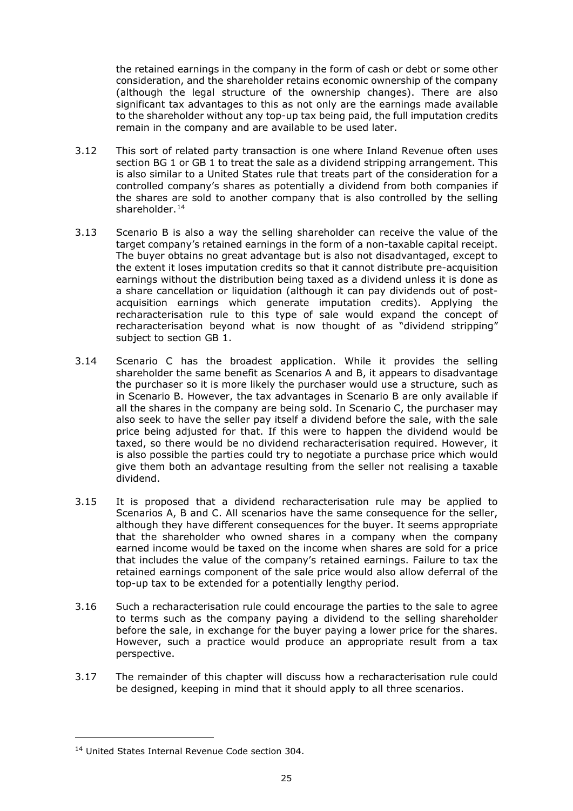the retained earnings in the company in the form of cash or debt or some other consideration, and the shareholder retains economic ownership of the company (although the legal structure of the ownership changes). There are also significant tax advantages to this as not only are the earnings made available to the shareholder without any top-up tax being paid, the full imputation credits remain in the company and are available to be used later.

- 3.12 This sort of related party transaction is one where Inland Revenue often uses section BG 1 or GB 1 to treat the sale as a dividend stripping arrangement. This is also similar to a United States rule that treats part of the consideration for a controlled company's shares as potentially a dividend from both companies if the shares are sold to another company that is also controlled by the selling shareholder.[14](#page-24-0)
- 3.13 Scenario B is also a way the selling shareholder can receive the value of the target company's retained earnings in the form of a non-taxable capital receipt. The buyer obtains no great advantage but is also not disadvantaged, except to the extent it loses imputation credits so that it cannot distribute pre-acquisition earnings without the distribution being taxed as a dividend unless it is done as a share cancellation or liquidation (although it can pay dividends out of postacquisition earnings which generate imputation credits). Applying the recharacterisation rule to this type of sale would expand the concept of recharacterisation beyond what is now thought of as "dividend stripping" subject to section GB 1.
- 3.14 Scenario C has the broadest application. While it provides the selling shareholder the same benefit as Scenarios A and B, it appears to disadvantage the purchaser so it is more likely the purchaser would use a structure, such as in Scenario B. However, the tax advantages in Scenario B are only available if all the shares in the company are being sold. In Scenario C, the purchaser may also seek to have the seller pay itself a dividend before the sale, with the sale price being adjusted for that. If this were to happen the dividend would be taxed, so there would be no dividend recharacterisation required. However, it is also possible the parties could try to negotiate a purchase price which would give them both an advantage resulting from the seller not realising a taxable dividend.
- 3.15 It is proposed that a dividend recharacterisation rule may be applied to Scenarios A, B and C. All scenarios have the same consequence for the seller, although they have different consequences for the buyer. It seems appropriate that the shareholder who owned shares in a company when the company earned income would be taxed on the income when shares are sold for a price that includes the value of the company's retained earnings. Failure to tax the retained earnings component of the sale price would also allow deferral of the top-up tax to be extended for a potentially lengthy period.
- 3.16 Such a recharacterisation rule could encourage the parties to the sale to agree to terms such as the company paying a dividend to the selling shareholder before the sale, in exchange for the buyer paying a lower price for the shares. However, such a practice would produce an appropriate result from a tax perspective.
- 3.17 The remainder of this chapter will discuss how a recharacterisation rule could be designed, keeping in mind that it should apply to all three scenarios.

<span id="page-24-0"></span><sup>&</sup>lt;sup>14</sup> United States Internal Revenue Code section 304.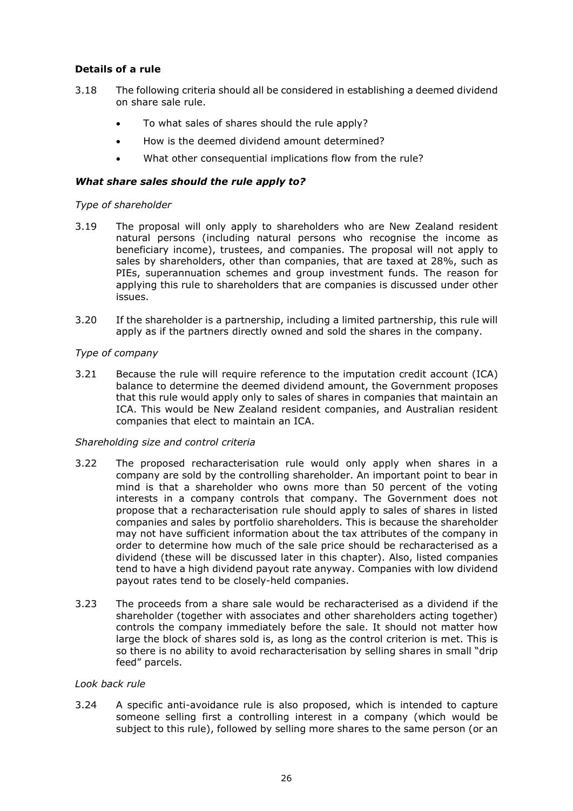## **Details of a rule**

- 3.18 The following criteria should all be considered in establishing a deemed dividend on share sale rule.
	- To what sales of shares should the rule apply?
	- How is the deemed dividend amount determined?
	- What other consequential implications flow from the rule?

## *What share sales should the rule apply to?*

## *Type of shareholder*

- 3.19 The proposal will only apply to shareholders who are New Zealand resident natural persons (including natural persons who recognise the income as beneficiary income), trustees, and companies. The proposal will not apply to sales by shareholders, other than companies, that are taxed at 28%, such as PIEs, superannuation schemes and group investment funds. The reason for applying this rule to shareholders that are companies is discussed under other issues.
- 3.20 If the shareholder is a partnership, including a limited partnership, this rule will apply as if the partners directly owned and sold the shares in the company.

## *Type of company*

3.21 Because the rule will require reference to the imputation credit account (ICA) balance to determine the deemed dividend amount, the Government proposes that this rule would apply only to sales of shares in companies that maintain an ICA. This would be New Zealand resident companies, and Australian resident companies that elect to maintain an ICA.

#### *Shareholding size and control criteria*

- 3.22 The proposed recharacterisation rule would only apply when shares in a company are sold by the controlling shareholder. An important point to bear in mind is that a shareholder who owns more than 50 percent of the voting interests in a company controls that company. The Government does not propose that a recharacterisation rule should apply to sales of shares in listed companies and sales by portfolio shareholders. This is because the shareholder may not have sufficient information about the tax attributes of the company in order to determine how much of the sale price should be recharacterised as a dividend (these will be discussed later in this chapter). Also, listed companies tend to have a high dividend payout rate anyway. Companies with low dividend payout rates tend to be closely-held companies.
- 3.23 The proceeds from a share sale would be recharacterised as a dividend if the shareholder (together with associates and other shareholders acting together) controls the company immediately before the sale. It should not matter how large the block of shares sold is, as long as the control criterion is met. This is so there is no ability to avoid recharacterisation by selling shares in small "drip feed" parcels.

#### *Look back rule*

3.24 A specific anti-avoidance rule is also proposed, which is intended to capture someone selling first a controlling interest in a company (which would be subject to this rule), followed by selling more shares to the same person (or an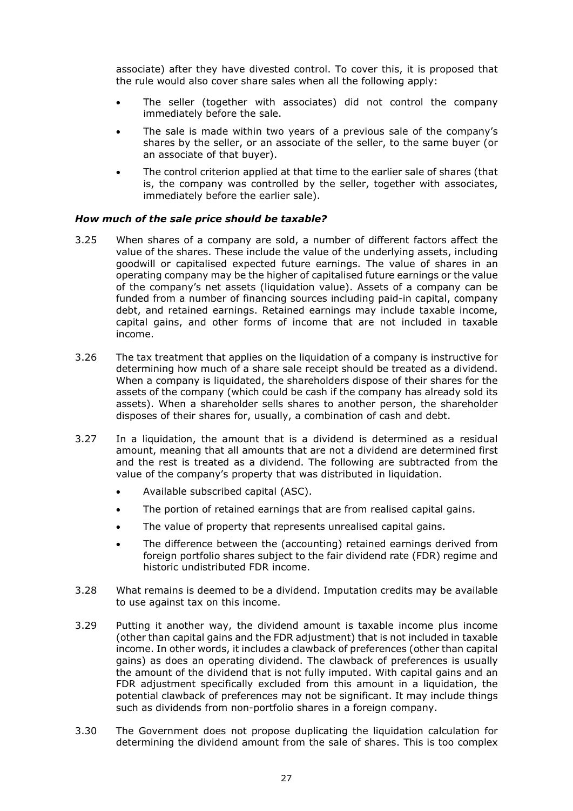associate) after they have divested control. To cover this, it is proposed that the rule would also cover share sales when all the following apply:

- The seller (together with associates) did not control the company immediately before the sale.
- The sale is made within two years of a previous sale of the company's shares by the seller, or an associate of the seller, to the same buyer (or an associate of that buyer).
- The control criterion applied at that time to the earlier sale of shares (that is, the company was controlled by the seller, together with associates, immediately before the earlier sale).

#### *How much of the sale price should be taxable?*

- 3.25 When shares of a company are sold, a number of different factors affect the value of the shares. These include the value of the underlying assets, including goodwill or capitalised expected future earnings. The value of shares in an operating company may be the higher of capitalised future earnings or the value of the company's net assets (liquidation value). Assets of a company can be funded from a number of financing sources including paid-in capital, company debt, and retained earnings. Retained earnings may include taxable income, capital gains, and other forms of income that are not included in taxable income.
- 3.26 The tax treatment that applies on the liquidation of a company is instructive for determining how much of a share sale receipt should be treated as a dividend. When a company is liquidated, the shareholders dispose of their shares for the assets of the company (which could be cash if the company has already sold its assets). When a shareholder sells shares to another person, the shareholder disposes of their shares for, usually, a combination of cash and debt.
- 3.27 In a liquidation, the amount that is a dividend is determined as a residual amount, meaning that all amounts that are not a dividend are determined first and the rest is treated as a dividend. The following are subtracted from the value of the company's property that was distributed in liquidation.
	- Available subscribed capital (ASC).
	- The portion of retained earnings that are from realised capital gains.
	- The value of property that represents unrealised capital gains.
	- The difference between the (accounting) retained earnings derived from foreign portfolio shares subject to the fair dividend rate (FDR) regime and historic undistributed FDR income.
- 3.28 What remains is deemed to be a dividend. Imputation credits may be available to use against tax on this income.
- 3.29 Putting it another way, the dividend amount is taxable income plus income (other than capital gains and the FDR adjustment) that is not included in taxable income. In other words, it includes a clawback of preferences (other than capital gains) as does an operating dividend. The clawback of preferences is usually the amount of the dividend that is not fully imputed. With capital gains and an FDR adjustment specifically excluded from this amount in a liquidation, the potential clawback of preferences may not be significant. It may include things such as dividends from non-portfolio shares in a foreign company.
- 3.30 The Government does not propose duplicating the liquidation calculation for determining the dividend amount from the sale of shares. This is too complex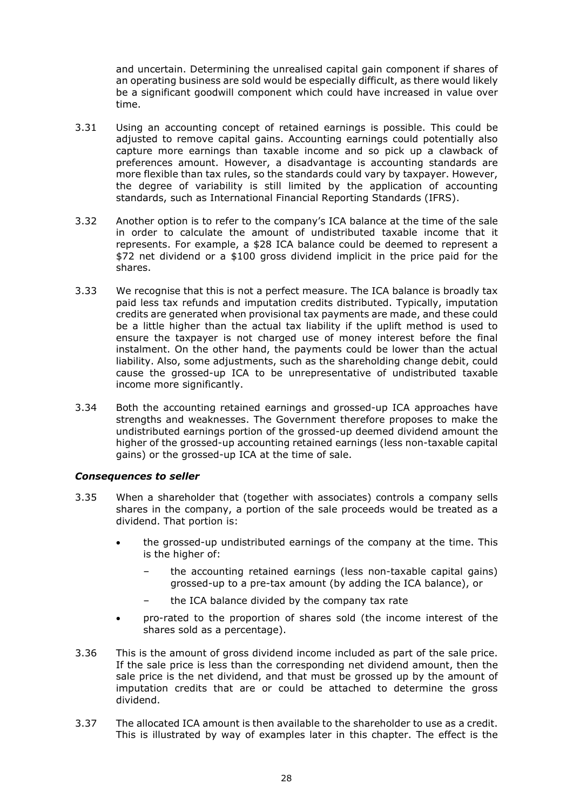and uncertain. Determining the unrealised capital gain component if shares of an operating business are sold would be especially difficult, as there would likely be a significant goodwill component which could have increased in value over time.

- 3.31 Using an accounting concept of retained earnings is possible. This could be adjusted to remove capital gains. Accounting earnings could potentially also capture more earnings than taxable income and so pick up a clawback of preferences amount. However, a disadvantage is accounting standards are more flexible than tax rules, so the standards could vary by taxpayer. However, the degree of variability is still limited by the application of accounting standards, such as International Financial Reporting Standards (IFRS).
- 3.32 Another option is to refer to the company's ICA balance at the time of the sale in order to calculate the amount of undistributed taxable income that it represents. For example, a \$28 ICA balance could be deemed to represent a \$72 net dividend or a \$100 gross dividend implicit in the price paid for the shares.
- 3.33 We recognise that this is not a perfect measure. The ICA balance is broadly tax paid less tax refunds and imputation credits distributed. Typically, imputation credits are generated when provisional tax payments are made, and these could be a little higher than the actual tax liability if the uplift method is used to ensure the taxpayer is not charged use of money interest before the final instalment. On the other hand, the payments could be lower than the actual liability. Also, some adjustments, such as the shareholding change debit, could cause the grossed-up ICA to be unrepresentative of undistributed taxable income more significantly.
- 3.34 Both the accounting retained earnings and grossed-up ICA approaches have strengths and weaknesses. The Government therefore proposes to make the undistributed earnings portion of the grossed-up deemed dividend amount the higher of the grossed-up accounting retained earnings (less non-taxable capital gains) or the grossed-up ICA at the time of sale.

#### *Consequences to seller*

- 3.35 When a shareholder that (together with associates) controls a company sells shares in the company, a portion of the sale proceeds would be treated as a dividend. That portion is:
	- the grossed-up undistributed earnings of the company at the time. This is the higher of:
		- the accounting retained earnings (less non-taxable capital gains) grossed-up to a pre-tax amount (by adding the ICA balance), or
		- the ICA balance divided by the company tax rate
	- pro-rated to the proportion of shares sold (the income interest of the shares sold as a percentage).
- 3.36 This is the amount of gross dividend income included as part of the sale price. If the sale price is less than the corresponding net dividend amount, then the sale price is the net dividend, and that must be grossed up by the amount of imputation credits that are or could be attached to determine the gross dividend.
- 3.37 The allocated ICA amount is then available to the shareholder to use as a credit. This is illustrated by way of examples later in this chapter. The effect is the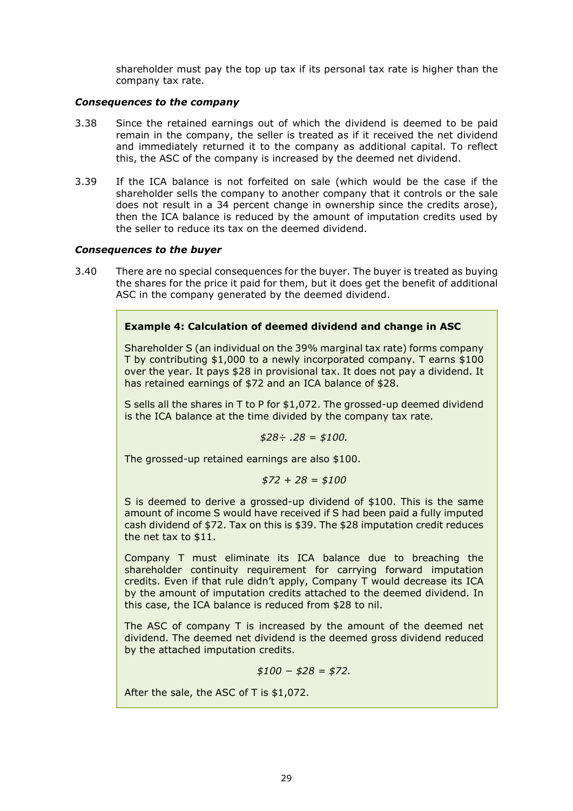shareholder must pay the top up tax if its personal tax rate is higher than the company tax rate.

#### *Consequences to the company*

- 3.38 Since the retained earnings out of which the dividend is deemed to be paid remain in the company, the seller is treated as if it received the net dividend and immediately returned it to the company as additional capital. To reflect this, the ASC of the company is increased by the deemed net dividend.
- 3.39 If the ICA balance is not forfeited on sale (which would be the case if the shareholder sells the company to another company that it controls or the sale does not result in a 34 percent change in ownership since the credits arose), then the ICA balance is reduced by the amount of imputation credits used by the seller to reduce its tax on the deemed dividend.

#### *Consequences to the buyer*

3.40 There are no special consequences for the buyer. The buyer is treated as buying the shares for the price it paid for them, but it does get the benefit of additional ASC in the company generated by the deemed dividend.

#### **Example 4: Calculation of deemed dividend and change in ASC**

Shareholder S (an individual on the 39% marginal tax rate) forms company T by contributing \$1,000 to a newly incorporated company. T earns \$100 over the year. It pays \$28 in provisional tax. It does not pay a dividend. It has retained earnings of \$72 and an ICA balance of \$28.

S sells all the shares in T to P for \$1,072. The grossed-up deemed dividend is the ICA balance at the time divided by the company tax rate.

$$
$28 \div .28 = $100.
$$

The grossed-up retained earnings are also \$100.

$$
$72 + 28 = $100
$$

S is deemed to derive a grossed-up dividend of \$100. This is the same amount of income S would have received if S had been paid a fully imputed cash dividend of \$72. Tax on this is \$39. The \$28 imputation credit reduces the net tax to \$11.

Company T must eliminate its ICA balance due to breaching the shareholder continuity requirement for carrying forward imputation credits. Even if that rule didn't apply, Company T would decrease its ICA by the amount of imputation credits attached to the deemed dividend. In this case, the ICA balance is reduced from \$28 to nil.

The ASC of company T is increased by the amount of the deemed net dividend. The deemed net dividend is the deemed gross dividend reduced by the attached imputation credits.

*\$100 − \$28 = \$72.*

After the sale, the ASC of T is \$1,072.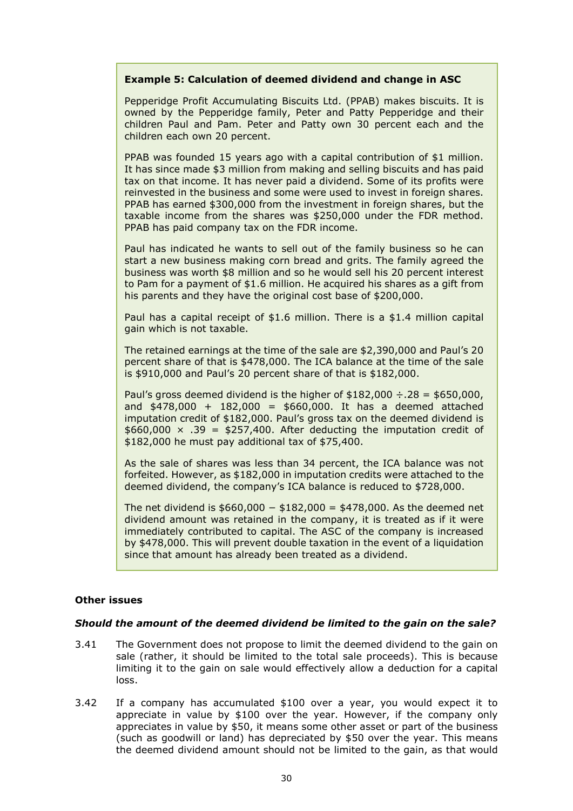#### **Example 5: Calculation of deemed dividend and change in ASC**

Pepperidge Profit Accumulating Biscuits Ltd. (PPAB) makes biscuits. It is owned by the Pepperidge family, Peter and Patty Pepperidge and their children Paul and Pam. Peter and Patty own 30 percent each and the children each own 20 percent.

PPAB was founded 15 years ago with a capital contribution of \$1 million. It has since made \$3 million from making and selling biscuits and has paid tax on that income. It has never paid a dividend. Some of its profits were reinvested in the business and some were used to invest in foreign shares. PPAB has earned \$300,000 from the investment in foreign shares, but the taxable income from the shares was \$250,000 under the FDR method. PPAB has paid company tax on the FDR income.

Paul has indicated he wants to sell out of the family business so he can start a new business making corn bread and grits. The family agreed the business was worth \$8 million and so he would sell his 20 percent interest to Pam for a payment of \$1.6 million. He acquired his shares as a gift from his parents and they have the original cost base of \$200,000.

Paul has a capital receipt of \$1.6 million. There is a \$1.4 million capital gain which is not taxable.

The retained earnings at the time of the sale are \$2,390,000 and Paul's 20 percent share of that is \$478,000. The ICA balance at the time of the sale is \$910,000 and Paul's 20 percent share of that is \$182,000.

Paul's gross deemed dividend is the higher of  $$182,000 \div .28 = $650,000$ , and  $$478,000 + 182,000 = $660,000$ . It has a deemed attached imputation credit of \$182,000. Paul's gross tax on the deemed dividend is  $$660,000 \times .39 = $257,400$ . After deducting the imputation credit of \$182,000 he must pay additional tax of \$75,400.

As the sale of shares was less than 34 percent, the ICA balance was not forfeited. However, as \$182,000 in imputation credits were attached to the deemed dividend, the company's ICA balance is reduced to \$728,000.

The net dividend is  $$660,000 - $182,000 = $478,000$ . As the deemed net dividend amount was retained in the company, it is treated as if it were immediately contributed to capital. The ASC of the company is increased by \$478,000. This will prevent double taxation in the event of a liquidation since that amount has already been treated as a dividend.

## **Other issues**

#### *Should the amount of the deemed dividend be limited to the gain on the sale?*

- 3.41 The Government does not propose to limit the deemed dividend to the gain on sale (rather, it should be limited to the total sale proceeds). This is because limiting it to the gain on sale would effectively allow a deduction for a capital loss.
- 3.42 If a company has accumulated \$100 over a year, you would expect it to appreciate in value by \$100 over the year. However, if the company only appreciates in value by \$50, it means some other asset or part of the business (such as goodwill or land) has depreciated by \$50 over the year. This means the deemed dividend amount should not be limited to the gain, as that would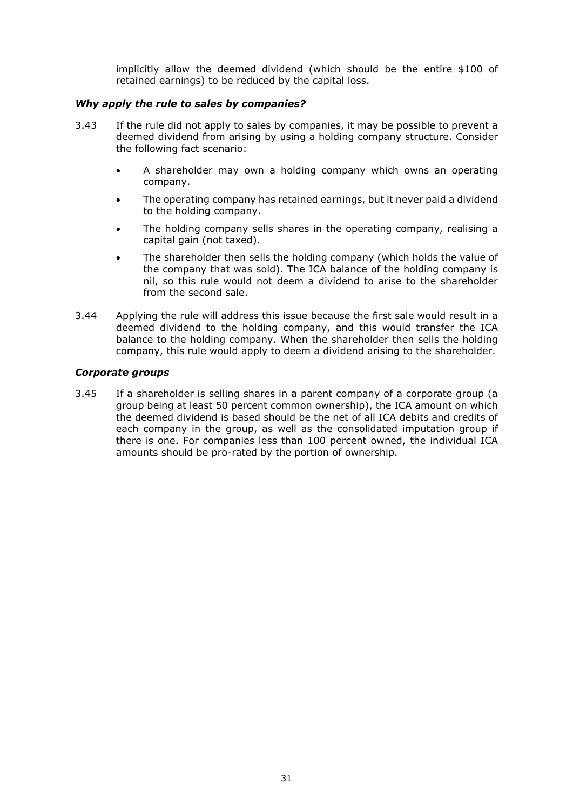implicitly allow the deemed dividend (which should be the entire \$100 of retained earnings) to be reduced by the capital loss.

#### *Why apply the rule to sales by companies?*

- 3.43 If the rule did not apply to sales by companies, it may be possible to prevent a deemed dividend from arising by using a holding company structure. Consider the following fact scenario:
	- A shareholder may own a holding company which owns an operating company.
	- The operating company has retained earnings, but it never paid a dividend to the holding company.
	- The holding company sells shares in the operating company, realising a capital gain (not taxed).
	- The shareholder then sells the holding company (which holds the value of the company that was sold). The ICA balance of the holding company is nil, so this rule would not deem a dividend to arise to the shareholder from the second sale.
- 3.44 Applying the rule will address this issue because the first sale would result in a deemed dividend to the holding company, and this would transfer the ICA balance to the holding company. When the shareholder then sells the holding company, this rule would apply to deem a dividend arising to the shareholder.

#### *Corporate groups*

3.45 If a shareholder is selling shares in a parent company of a corporate group (a group being at least 50 percent common ownership), the ICA amount on which the deemed dividend is based should be the net of all ICA debits and credits of each company in the group, as well as the consolidated imputation group if there is one. For companies less than 100 percent owned, the individual ICA amounts should be pro-rated by the portion of ownership.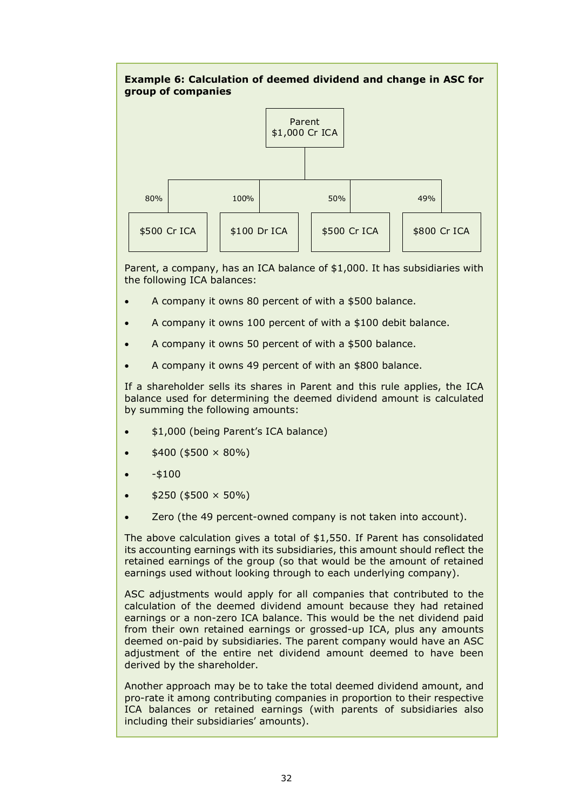

Parent, a company, has an ICA balance of \$1,000. It has subsidiaries with the following ICA balances:

- A company it owns 80 percent of with a \$500 balance.
- A company it owns 100 percent of with a \$100 debit balance.
- A company it owns 50 percent of with a \$500 balance.
- A company it owns 49 percent of with an \$800 balance.

If a shareholder sells its shares in Parent and this rule applies, the ICA balance used for determining the deemed dividend amount is calculated by summing the following amounts:

- \$1,000 (being Parent's ICA balance)
- $$400 ($500 \times 80\%)$
- $- $100$
- $$250 ($500 \times 50\%)$
- Zero (the 49 percent-owned company is not taken into account).

The above calculation gives a total of \$1,550. If Parent has consolidated its accounting earnings with its subsidiaries, this amount should reflect the retained earnings of the group (so that would be the amount of retained earnings used without looking through to each underlying company).

ASC adjustments would apply for all companies that contributed to the calculation of the deemed dividend amount because they had retained earnings or a non-zero ICA balance. This would be the net dividend paid from their own retained earnings or grossed-up ICA, plus any amounts deemed on-paid by subsidiaries. The parent company would have an ASC adjustment of the entire net dividend amount deemed to have been derived by the shareholder.

Another approach may be to take the total deemed dividend amount, and pro-rate it among contributing companies in proportion to their respective ICA balances or retained earnings (with parents of subsidiaries also including their subsidiaries' amounts).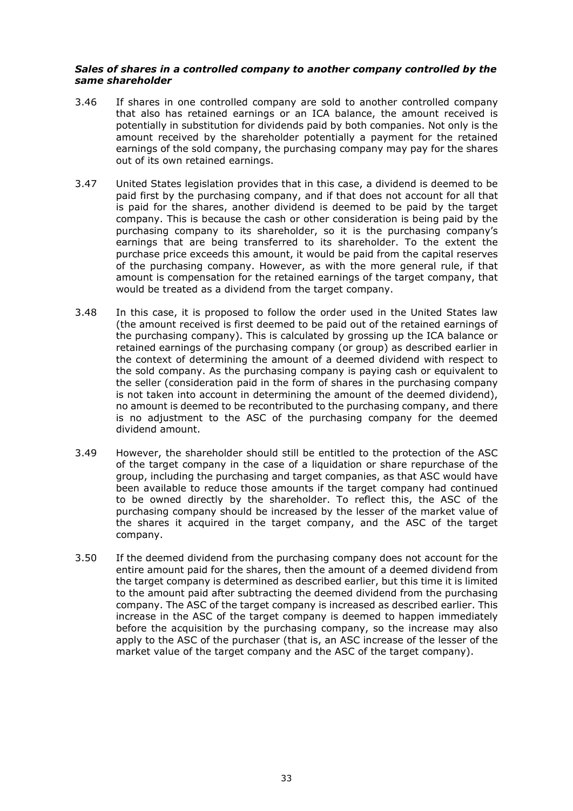#### *Sales of shares in a controlled company to another company controlled by the same shareholder*

- 3.46 If shares in one controlled company are sold to another controlled company that also has retained earnings or an ICA balance, the amount received is potentially in substitution for dividends paid by both companies. Not only is the amount received by the shareholder potentially a payment for the retained earnings of the sold company, the purchasing company may pay for the shares out of its own retained earnings.
- 3.47 United States legislation provides that in this case, a dividend is deemed to be paid first by the purchasing company, and if that does not account for all that is paid for the shares, another dividend is deemed to be paid by the target company. This is because the cash or other consideration is being paid by the purchasing company to its shareholder, so it is the purchasing company's earnings that are being transferred to its shareholder. To the extent the purchase price exceeds this amount, it would be paid from the capital reserves of the purchasing company. However, as with the more general rule, if that amount is compensation for the retained earnings of the target company, that would be treated as a dividend from the target company.
- 3.48 In this case, it is proposed to follow the order used in the United States law (the amount received is first deemed to be paid out of the retained earnings of the purchasing company). This is calculated by grossing up the ICA balance or retained earnings of the purchasing company (or group) as described earlier in the context of determining the amount of a deemed dividend with respect to the sold company. As the purchasing company is paying cash or equivalent to the seller (consideration paid in the form of shares in the purchasing company is not taken into account in determining the amount of the deemed dividend), no amount is deemed to be recontributed to the purchasing company, and there is no adjustment to the ASC of the purchasing company for the deemed dividend amount.
- 3.49 However, the shareholder should still be entitled to the protection of the ASC of the target company in the case of a liquidation or share repurchase of the group, including the purchasing and target companies, as that ASC would have been available to reduce those amounts if the target company had continued to be owned directly by the shareholder. To reflect this, the ASC of the purchasing company should be increased by the lesser of the market value of the shares it acquired in the target company, and the ASC of the target company.
- 3.50 If the deemed dividend from the purchasing company does not account for the entire amount paid for the shares, then the amount of a deemed dividend from the target company is determined as described earlier, but this time it is limited to the amount paid after subtracting the deemed dividend from the purchasing company. The ASC of the target company is increased as described earlier. This increase in the ASC of the target company is deemed to happen immediately before the acquisition by the purchasing company, so the increase may also apply to the ASC of the purchaser (that is, an ASC increase of the lesser of the market value of the target company and the ASC of the target company).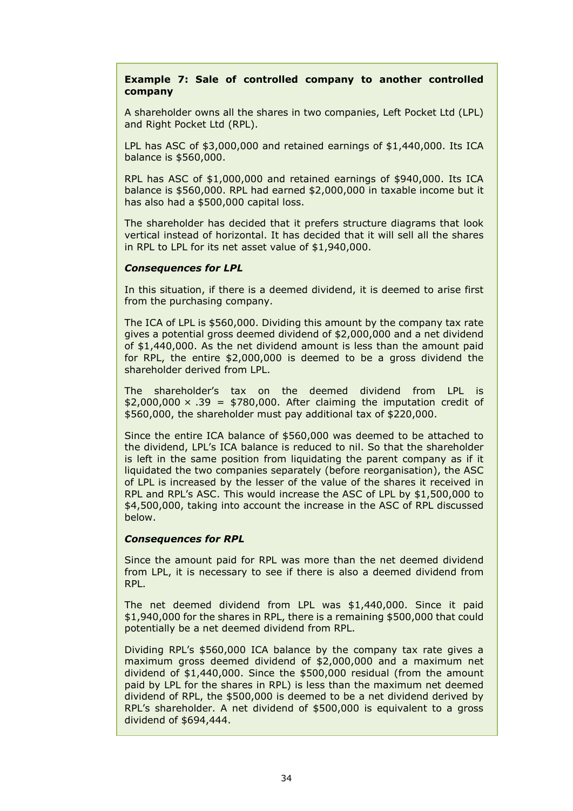### **Example 7: Sale of controlled company to another controlled company**

A shareholder owns all the shares in two companies, Left Pocket Ltd (LPL) and Right Pocket Ltd (RPL).

LPL has ASC of \$3,000,000 and retained earnings of \$1,440,000. Its ICA balance is \$560,000.

RPL has ASC of \$1,000,000 and retained earnings of \$940,000. Its ICA balance is \$560,000. RPL had earned \$2,000,000 in taxable income but it has also had a \$500,000 capital loss.

The shareholder has decided that it prefers structure diagrams that look vertical instead of horizontal. It has decided that it will sell all the shares in RPL to LPL for its net asset value of \$1,940,000.

#### *Consequences for LPL*

In this situation, if there is a deemed dividend, it is deemed to arise first from the purchasing company.

The ICA of LPL is \$560,000. Dividing this amount by the company tax rate gives a potential gross deemed dividend of \$2,000,000 and a net dividend of \$1,440,000. As the net dividend amount is less than the amount paid for RPL, the entire \$2,000,000 is deemed to be a gross dividend the shareholder derived from LPL.

The shareholder's tax on the deemed dividend from LPL is  $$2,000,000 \times .39 = $780,000$ . After claiming the imputation credit of \$560,000, the shareholder must pay additional tax of \$220,000.

Since the entire ICA balance of \$560,000 was deemed to be attached to the dividend, LPL's ICA balance is reduced to nil. So that the shareholder is left in the same position from liquidating the parent company as if it liquidated the two companies separately (before reorganisation), the ASC of LPL is increased by the lesser of the value of the shares it received in RPL and RPL's ASC. This would increase the ASC of LPL by \$1,500,000 to \$4,500,000, taking into account the increase in the ASC of RPL discussed below.

## *Consequences for RPL*

Since the amount paid for RPL was more than the net deemed dividend from LPL, it is necessary to see if there is also a deemed dividend from RPL.

The net deemed dividend from LPL was \$1,440,000. Since it paid \$1,940,000 for the shares in RPL, there is a remaining \$500,000 that could potentially be a net deemed dividend from RPL.

Dividing RPL's \$560,000 ICA balance by the company tax rate gives a maximum gross deemed dividend of \$2,000,000 and a maximum net dividend of \$1,440,000. Since the \$500,000 residual (from the amount paid by LPL for the shares in RPL) is less than the maximum net deemed dividend of RPL, the \$500,000 is deemed to be a net dividend derived by RPL's shareholder. A net dividend of \$500,000 is equivalent to a gross dividend of \$694,444.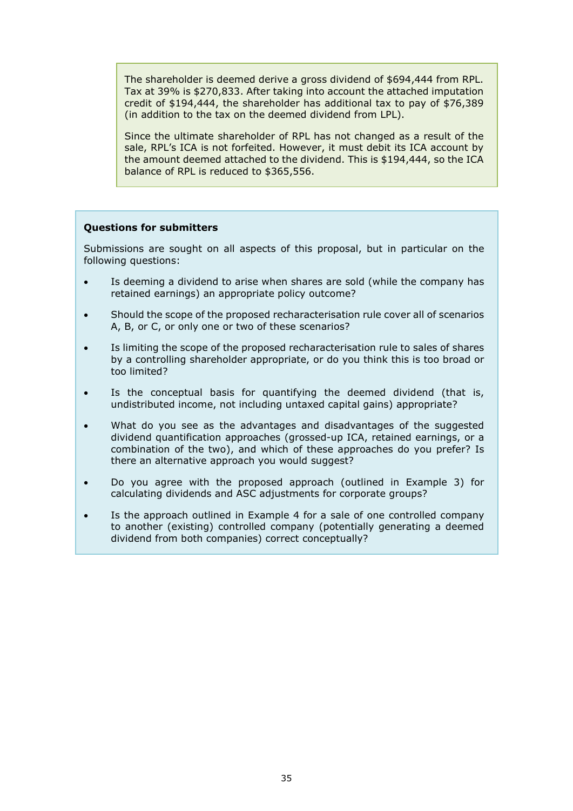The shareholder is deemed derive a gross dividend of \$694,444 from RPL. Tax at 39% is \$270,833. After taking into account the attached imputation credit of \$194,444, the shareholder has additional tax to pay of \$76,389 (in addition to the tax on the deemed dividend from LPL).

Since the ultimate shareholder of RPL has not changed as a result of the sale, RPL's ICA is not forfeited. However, it must debit its ICA account by the amount deemed attached to the dividend. This is \$194,444, so the ICA balance of RPL is reduced to \$365,556.

#### **Questions for submitters**

Submissions are sought on all aspects of this proposal, but in particular on the following questions:

- Is deeming a dividend to arise when shares are sold (while the company has retained earnings) an appropriate policy outcome?
- Should the scope of the proposed recharacterisation rule cover all of scenarios A, B, or C, or only one or two of these scenarios?
- Is limiting the scope of the proposed recharacterisation rule to sales of shares by a controlling shareholder appropriate, or do you think this is too broad or too limited?
- Is the conceptual basis for quantifying the deemed dividend (that is, undistributed income, not including untaxed capital gains) appropriate?
- What do you see as the advantages and disadvantages of the suggested dividend quantification approaches (grossed-up ICA, retained earnings, or a combination of the two), and which of these approaches do you prefer? Is there an alternative approach you would suggest?
- Do you agree with the proposed approach (outlined in Example 3) for calculating dividends and ASC adjustments for corporate groups?
- Is the approach outlined in Example 4 for a sale of one controlled company to another (existing) controlled company (potentially generating a deemed dividend from both companies) correct conceptually?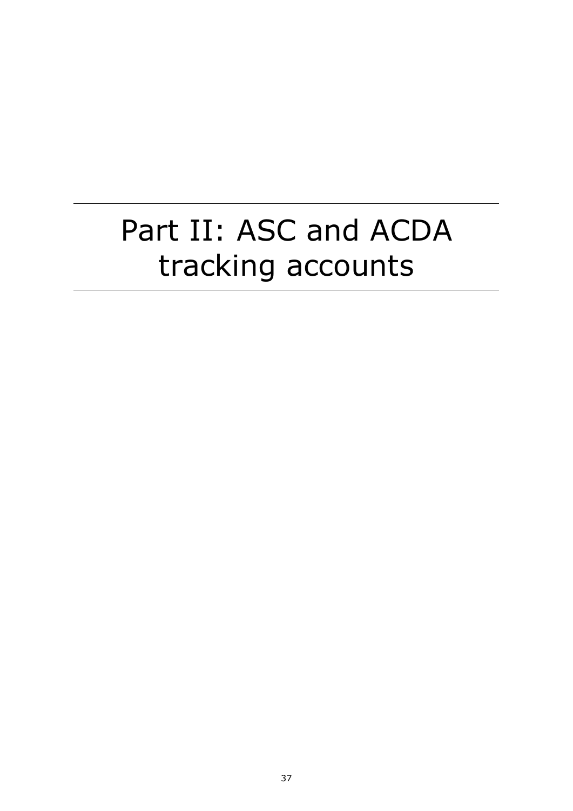# Part II: ASC and ACDA tracking accounts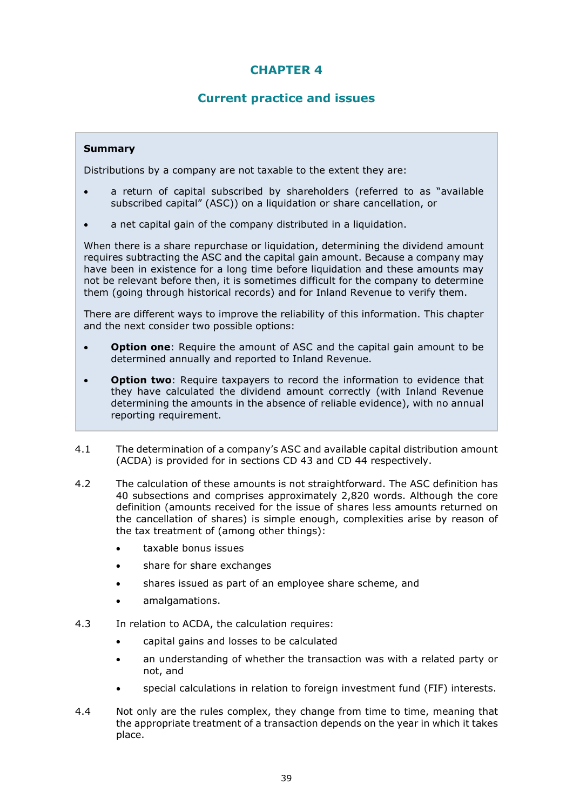# **CHAPTER 4**

## **Current practice and issues**

## **Summary**

Distributions by a company are not taxable to the extent they are:

- a return of capital subscribed by shareholders (referred to as "available subscribed capital" (ASC)) on a liquidation or share cancellation, or
- a net capital gain of the company distributed in a liquidation.

When there is a share repurchase or liquidation, determining the dividend amount requires subtracting the ASC and the capital gain amount. Because a company may have been in existence for a long time before liquidation and these amounts may not be relevant before then, it is sometimes difficult for the company to determine them (going through historical records) and for Inland Revenue to verify them.

There are different ways to improve the reliability of this information. This chapter and the next consider two possible options:

- **Option one**: Require the amount of ASC and the capital gain amount to be determined annually and reported to Inland Revenue.
- **Option two**: Require taxpayers to record the information to evidence that they have calculated the dividend amount correctly (with Inland Revenue determining the amounts in the absence of reliable evidence), with no annual reporting requirement.
- 4.1 The determination of a company's ASC and available capital distribution amount (ACDA) is provided for in sections CD 43 and CD 44 respectively.
- 4.2 The calculation of these amounts is not straightforward. The ASC definition has 40 subsections and comprises approximately 2,820 words. Although the core definition (amounts received for the issue of shares less amounts returned on the cancellation of shares) is simple enough, complexities arise by reason of the tax treatment of (among other things):
	- taxable bonus issues
	- share for share exchanges
	- shares issued as part of an employee share scheme, and
	- amalgamations.
- 4.3 In relation to ACDA, the calculation requires:
	- capital gains and losses to be calculated
	- an understanding of whether the transaction was with a related party or not, and
	- special calculations in relation to foreign investment fund (FIF) interests.
- 4.4 Not only are the rules complex, they change from time to time, meaning that the appropriate treatment of a transaction depends on the year in which it takes place.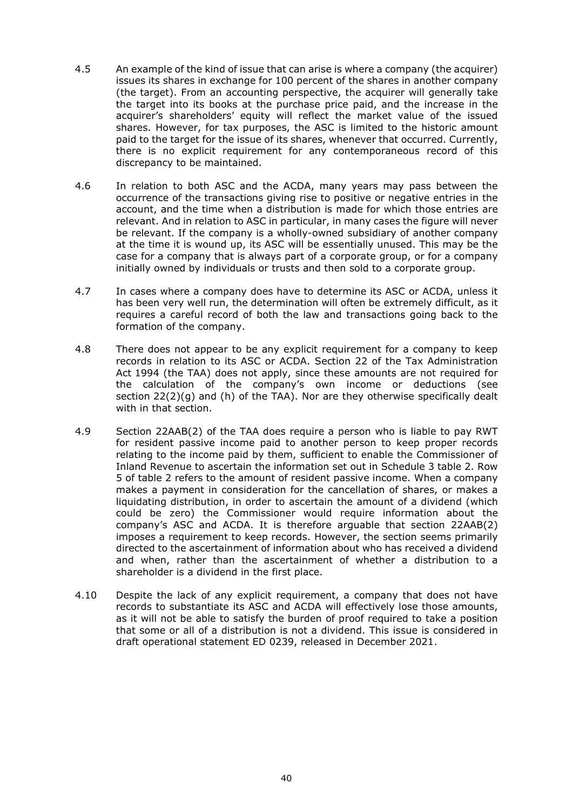- 4.5 An example of the kind of issue that can arise is where a company (the acquirer) issues its shares in exchange for 100 percent of the shares in another company (the target). From an accounting perspective, the acquirer will generally take the target into its books at the purchase price paid, and the increase in the acquirer's shareholders' equity will reflect the market value of the issued shares. However, for tax purposes, the ASC is limited to the historic amount paid to the target for the issue of its shares, whenever that occurred. Currently, there is no explicit requirement for any contemporaneous record of this discrepancy to be maintained.
- 4.6 In relation to both ASC and the ACDA, many years may pass between the occurrence of the transactions giving rise to positive or negative entries in the account, and the time when a distribution is made for which those entries are relevant. And in relation to ASC in particular, in many cases the figure will never be relevant. If the company is a wholly-owned subsidiary of another company at the time it is wound up, its ASC will be essentially unused. This may be the case for a company that is always part of a corporate group, or for a company initially owned by individuals or trusts and then sold to a corporate group.
- 4.7 In cases where a company does have to determine its ASC or ACDA, unless it has been very well run, the determination will often be extremely difficult, as it requires a careful record of both the law and transactions going back to the formation of the company.
- 4.8 There does not appear to be any explicit requirement for a company to keep records in relation to its ASC or ACDA. Section 22 of the Tax Administration Act 1994 (the TAA) does not apply, since these amounts are not required for the calculation of the company's own income or deductions (see section 22(2)(g) and (h) of the TAA). Nor are they otherwise specifically dealt with in that section.
- 4.9 Section 22AAB(2) of the TAA does require a person who is liable to pay RWT for resident passive income paid to another person to keep proper records relating to the income paid by them, sufficient to enable the Commissioner of Inland Revenue to ascertain the information set out in Schedule 3 table 2. Row 5 of table 2 refers to the amount of resident passive income. When a company makes a payment in consideration for the cancellation of shares, or makes a liquidating distribution, in order to ascertain the amount of a dividend (which could be zero) the Commissioner would require information about the company's ASC and ACDA. It is therefore arguable that section 22AAB(2) imposes a requirement to keep records. However, the section seems primarily directed to the ascertainment of information about who has received a dividend and when, rather than the ascertainment of whether a distribution to a shareholder is a dividend in the first place.
- 4.10 Despite the lack of any explicit requirement, a company that does not have records to substantiate its ASC and ACDA will effectively lose those amounts, as it will not be able to satisfy the burden of proof required to take a position that some or all of a distribution is not a dividend. This issue is considered in draft operational statement ED 0239, released in December 2021.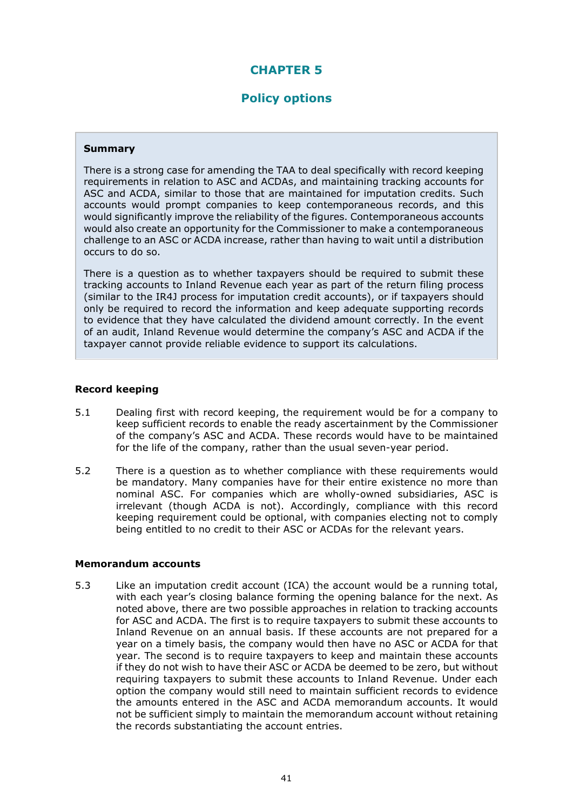## **CHAPTER 5**

## **Policy options**

#### **Summary**

There is a strong case for amending the TAA to deal specifically with record keeping requirements in relation to ASC and ACDAs, and maintaining tracking accounts for ASC and ACDA, similar to those that are maintained for imputation credits. Such accounts would prompt companies to keep contemporaneous records, and this would significantly improve the reliability of the figures. Contemporaneous accounts would also create an opportunity for the Commissioner to make a contemporaneous challenge to an ASC or ACDA increase, rather than having to wait until a distribution occurs to do so.

There is a question as to whether taxpayers should be required to submit these tracking accounts to Inland Revenue each year as part of the return filing process (similar to the IR4J process for imputation credit accounts), or if taxpayers should only be required to record the information and keep adequate supporting records to evidence that they have calculated the dividend amount correctly. In the event of an audit, Inland Revenue would determine the company's ASC and ACDA if the taxpayer cannot provide reliable evidence to support its calculations.

#### **Record keeping**

- 5.1 Dealing first with record keeping, the requirement would be for a company to keep sufficient records to enable the ready ascertainment by the Commissioner of the company's ASC and ACDA. These records would have to be maintained for the life of the company, rather than the usual seven-year period.
- 5.2 There is a question as to whether compliance with these requirements would be mandatory. Many companies have for their entire existence no more than nominal ASC. For companies which are wholly-owned subsidiaries, ASC is irrelevant (though ACDA is not). Accordingly, compliance with this record keeping requirement could be optional, with companies electing not to comply being entitled to no credit to their ASC or ACDAs for the relevant years.

#### **Memorandum accounts**

5.3 Like an imputation credit account (ICA) the account would be a running total, with each year's closing balance forming the opening balance for the next. As noted above, there are two possible approaches in relation to tracking accounts for ASC and ACDA. The first is to require taxpayers to submit these accounts to Inland Revenue on an annual basis. If these accounts are not prepared for a year on a timely basis, the company would then have no ASC or ACDA for that year. The second is to require taxpayers to keep and maintain these accounts if they do not wish to have their ASC or ACDA be deemed to be zero, but without requiring taxpayers to submit these accounts to Inland Revenue. Under each option the company would still need to maintain sufficient records to evidence the amounts entered in the ASC and ACDA memorandum accounts. It would not be sufficient simply to maintain the memorandum account without retaining the records substantiating the account entries.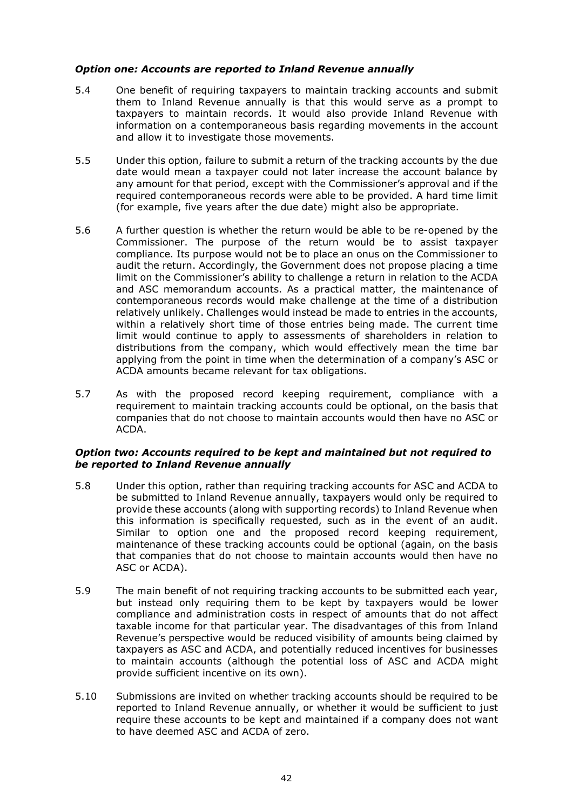#### *Option one: Accounts are reported to Inland Revenue annually*

- 5.4 One benefit of requiring taxpayers to maintain tracking accounts and submit them to Inland Revenue annually is that this would serve as a prompt to taxpayers to maintain records. It would also provide Inland Revenue with information on a contemporaneous basis regarding movements in the account and allow it to investigate those movements.
- 5.5 Under this option, failure to submit a return of the tracking accounts by the due date would mean a taxpayer could not later increase the account balance by any amount for that period, except with the Commissioner's approval and if the required contemporaneous records were able to be provided. A hard time limit (for example, five years after the due date) might also be appropriate.
- 5.6 A further question is whether the return would be able to be re-opened by the Commissioner. The purpose of the return would be to assist taxpayer compliance. Its purpose would not be to place an onus on the Commissioner to audit the return. Accordingly, the Government does not propose placing a time limit on the Commissioner's ability to challenge a return in relation to the ACDA and ASC memorandum accounts. As a practical matter, the maintenance of contemporaneous records would make challenge at the time of a distribution relatively unlikely. Challenges would instead be made to entries in the accounts, within a relatively short time of those entries being made. The current time limit would continue to apply to assessments of shareholders in relation to distributions from the company, which would effectively mean the time bar applying from the point in time when the determination of a company's ASC or ACDA amounts became relevant for tax obligations.
- 5.7 As with the proposed record keeping requirement, compliance with a requirement to maintain tracking accounts could be optional, on the basis that companies that do not choose to maintain accounts would then have no ASC or ACDA.

#### *Option two: Accounts required to be kept and maintained but not required to be reported to Inland Revenue annually*

- 5.8 Under this option, rather than requiring tracking accounts for ASC and ACDA to be submitted to Inland Revenue annually, taxpayers would only be required to provide these accounts (along with supporting records) to Inland Revenue when this information is specifically requested, such as in the event of an audit. Similar to option one and the proposed record keeping requirement, maintenance of these tracking accounts could be optional (again, on the basis that companies that do not choose to maintain accounts would then have no ASC or ACDA).
- 5.9 The main benefit of not requiring tracking accounts to be submitted each year, but instead only requiring them to be kept by taxpayers would be lower compliance and administration costs in respect of amounts that do not affect taxable income for that particular year. The disadvantages of this from Inland Revenue's perspective would be reduced visibility of amounts being claimed by taxpayers as ASC and ACDA, and potentially reduced incentives for businesses to maintain accounts (although the potential loss of ASC and ACDA might provide sufficient incentive on its own).
- 5.10 Submissions are invited on whether tracking accounts should be required to be reported to Inland Revenue annually, or whether it would be sufficient to just require these accounts to be kept and maintained if a company does not want to have deemed ASC and ACDA of zero.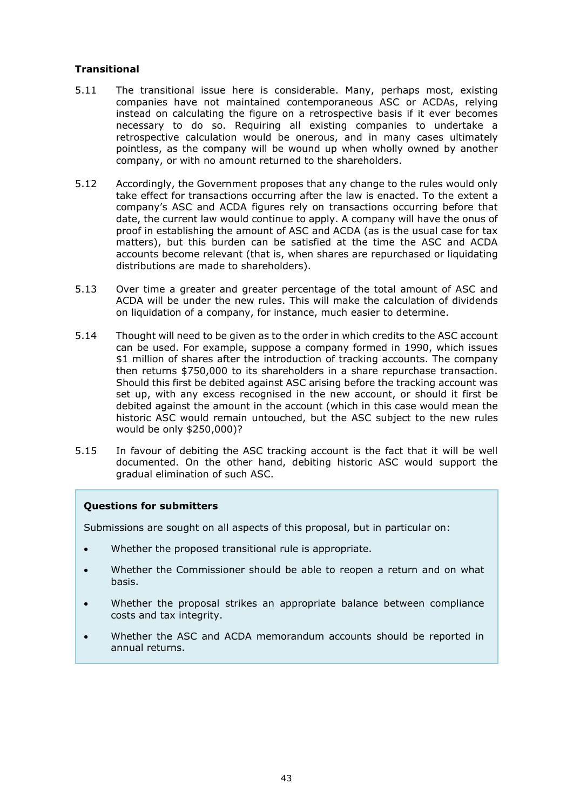## **Transitional**

- 5.11 The transitional issue here is considerable. Many, perhaps most, existing companies have not maintained contemporaneous ASC or ACDAs, relying instead on calculating the figure on a retrospective basis if it ever becomes necessary to do so. Requiring all existing companies to undertake a retrospective calculation would be onerous, and in many cases ultimately pointless, as the company will be wound up when wholly owned by another company, or with no amount returned to the shareholders.
- 5.12 Accordingly, the Government proposes that any change to the rules would only take effect for transactions occurring after the law is enacted. To the extent a company's ASC and ACDA figures rely on transactions occurring before that date, the current law would continue to apply. A company will have the onus of proof in establishing the amount of ASC and ACDA (as is the usual case for tax matters), but this burden can be satisfied at the time the ASC and ACDA accounts become relevant (that is, when shares are repurchased or liquidating distributions are made to shareholders).
- 5.13 Over time a greater and greater percentage of the total amount of ASC and ACDA will be under the new rules. This will make the calculation of dividends on liquidation of a company, for instance, much easier to determine.
- 5.14 Thought will need to be given as to the order in which credits to the ASC account can be used. For example, suppose a company formed in 1990, which issues \$1 million of shares after the introduction of tracking accounts. The company then returns \$750,000 to its shareholders in a share repurchase transaction. Should this first be debited against ASC arising before the tracking account was set up, with any excess recognised in the new account, or should it first be debited against the amount in the account (which in this case would mean the historic ASC would remain untouched, but the ASC subject to the new rules would be only \$250,000)?
- 5.15 In favour of debiting the ASC tracking account is the fact that it will be well documented. On the other hand, debiting historic ASC would support the gradual elimination of such ASC.

#### **Questions for submitters**

Submissions are sought on all aspects of this proposal, but in particular on:

- Whether the proposed transitional rule is appropriate.
- Whether the Commissioner should be able to reopen a return and on what basis.
- Whether the proposal strikes an appropriate balance between compliance costs and tax integrity.
- Whether the ASC and ACDA memorandum accounts should be reported in annual returns.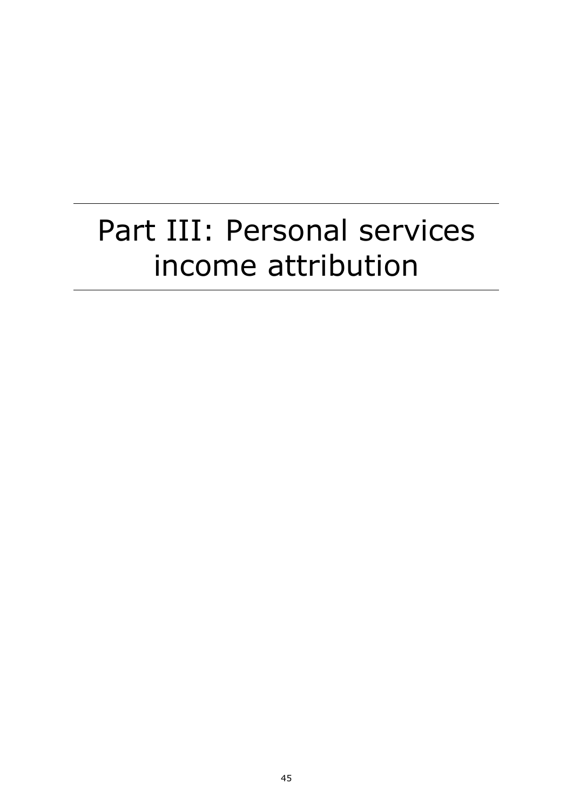# Part III: Personal services income attribution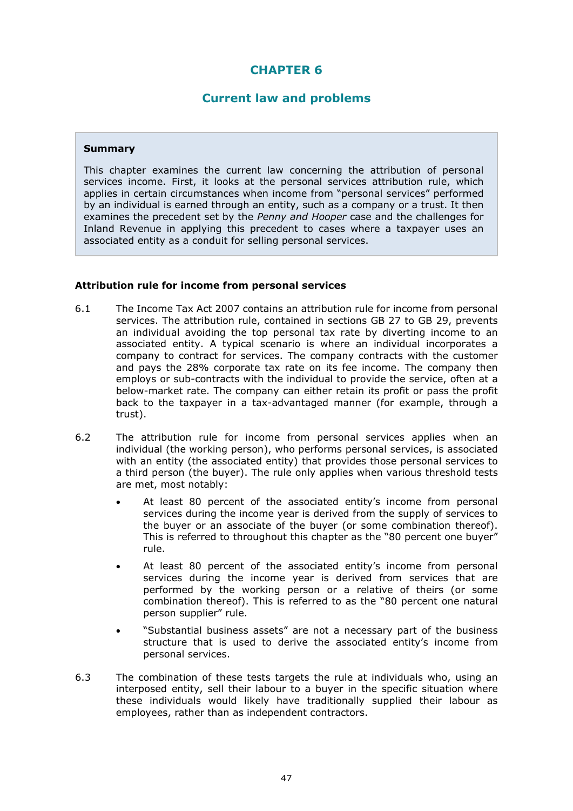## **CHAPTER 6**

## **Current law and problems**

#### **Summary**

This chapter examines the current law concerning the attribution of personal services income. First, it looks at the personal services attribution rule, which applies in certain circumstances when income from "personal services" performed by an individual is earned through an entity, such as a company or a trust. It then examines the precedent set by the *Penny and Hooper* case and the challenges for Inland Revenue in applying this precedent to cases where a taxpayer uses an associated entity as a conduit for selling personal services.

#### **Attribution rule for income from personal services**

- 6.1 The Income Tax Act 2007 contains an attribution rule for income from personal services. The attribution rule, contained in sections GB 27 to GB 29, prevents an individual avoiding the top personal tax rate by diverting income to an associated entity. A typical scenario is where an individual incorporates a company to contract for services. The company contracts with the customer and pays the 28% corporate tax rate on its fee income. The company then employs or sub-contracts with the individual to provide the service, often at a below-market rate. The company can either retain its profit or pass the profit back to the taxpayer in a tax-advantaged manner (for example, through a trust).
- 6.2 The attribution rule for income from personal services applies when an individual (the working person), who performs personal services, is associated with an entity (the associated entity) that provides those personal services to a third person (the buyer). The rule only applies when various threshold tests are met, most notably:
	- At least 80 percent of the associated entity's income from personal services during the income year is derived from the supply of services to the buyer or an associate of the buyer (or some combination thereof). This is referred to throughout this chapter as the "80 percent one buyer" rule.
	- At least 80 percent of the associated entity's income from personal services during the income year is derived from services that are performed by the working person or a relative of theirs (or some combination thereof). This is referred to as the "80 percent one natural person supplier" rule.
	- "Substantial business assets" are not a necessary part of the business structure that is used to derive the associated entity's income from personal services.
- 6.3 The combination of these tests targets the rule at individuals who, using an interposed entity, sell their labour to a buyer in the specific situation where these individuals would likely have traditionally supplied their labour as employees, rather than as independent contractors.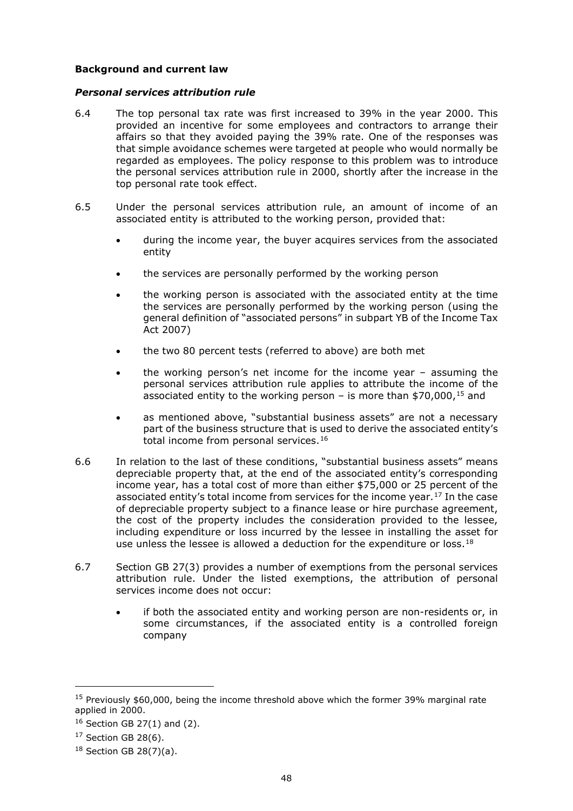#### **Background and current law**

#### *Personal services attribution rule*

- 6.4 The top personal tax rate was first increased to 39% in the year 2000. This provided an incentive for some employees and contractors to arrange their affairs so that they avoided paying the 39% rate. One of the responses was that simple avoidance schemes were targeted at people who would normally be regarded as employees. The policy response to this problem was to introduce the personal services attribution rule in 2000, shortly after the increase in the top personal rate took effect.
- 6.5 Under the personal services attribution rule, an amount of income of an associated entity is attributed to the working person, provided that:
	- during the income year, the buyer acquires services from the associated entity
	- the services are personally performed by the working person
	- the working person is associated with the associated entity at the time the services are personally performed by the working person (using the general definition of "associated persons" in subpart YB of the Income Tax Act 2007)
	- the two 80 percent tests (referred to above) are both met
	- the working person's net income for the income year  $-$  assuming the personal services attribution rule applies to attribute the income of the associated entity to the working person – is more than \$70,000,  $15$  and
	- as mentioned above, "substantial business assets" are not a necessary part of the business structure that is used to derive the associated entity's total income from personal services.<sup>[16](#page-47-1)</sup>
- 6.6 In relation to the last of these conditions, "substantial business assets" means depreciable property that, at the end of the associated entity's corresponding income year, has a total cost of more than either \$75,000 or 25 percent of the associated entity's total income from services for the income year.<sup>[17](#page-47-2)</sup> In the case of depreciable property subject to a finance lease or hire purchase agreement, the cost of the property includes the consideration provided to the lessee, including expenditure or loss incurred by the lessee in installing the asset for use unless the lessee is allowed a deduction for the expenditure or loss.<sup>[18](#page-47-3)</sup>
- 6.7 Section GB 27(3) provides a number of exemptions from the personal services attribution rule. Under the listed exemptions, the attribution of personal services income does not occur:
	- if both the associated entity and working person are non-residents or, in some circumstances, if the associated entity is a controlled foreign company

<span id="page-47-0"></span> $15$  Previously \$60,000, being the income threshold above which the former 39% marginal rate applied in 2000.

<span id="page-47-1"></span> $16$  Section GB 27(1) and (2).

<span id="page-47-2"></span> $17$  Section GB 28(6).

<span id="page-47-3"></span> $18$  Section GB 28(7)(a).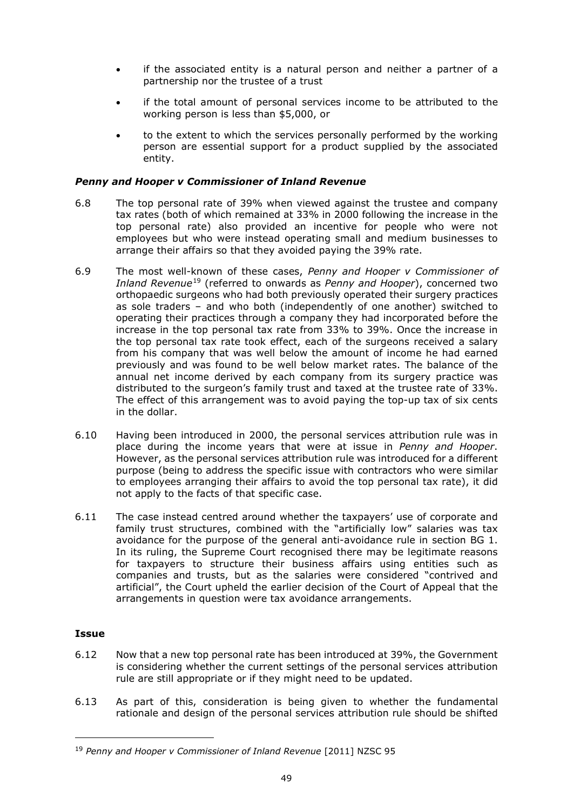- if the associated entity is a natural person and neither a partner of a partnership nor the trustee of a trust
- if the total amount of personal services income to be attributed to the working person is less than \$5,000, or
- to the extent to which the services personally performed by the working person are essential support for a product supplied by the associated entity.

#### *Penny and Hooper v Commissioner of Inland Revenue*

- 6.8 The top personal rate of 39% when viewed against the trustee and company tax rates (both of which remained at 33% in 2000 following the increase in the top personal rate) also provided an incentive for people who were not employees but who were instead operating small and medium businesses to arrange their affairs so that they avoided paying the 39% rate.
- 6.9 The most well-known of these cases, *Penny and Hooper v Commissioner of Inland Revenue*[19](#page-48-0) (referred to onwards as *Penny and Hooper*), concerned two orthopaedic surgeons who had both previously operated their surgery practices as sole traders – and who both (independently of one another) switched to operating their practices through a company they had incorporated before the increase in the top personal tax rate from 33% to 39%. Once the increase in the top personal tax rate took effect, each of the surgeons received a salary from his company that was well below the amount of income he had earned previously and was found to be well below market rates. The balance of the annual net income derived by each company from its surgery practice was distributed to the surgeon's family trust and taxed at the trustee rate of 33%. The effect of this arrangement was to avoid paying the top-up tax of six cents in the dollar.
- 6.10 Having been introduced in 2000, the personal services attribution rule was in place during the income years that were at issue in *Penny and Hooper*. However, as the personal services attribution rule was introduced for a different purpose (being to address the specific issue with contractors who were similar to employees arranging their affairs to avoid the top personal tax rate), it did not apply to the facts of that specific case.
- 6.11 The case instead centred around whether the taxpayers' use of corporate and family trust structures, combined with the "artificially low" salaries was tax avoidance for the purpose of the general anti-avoidance rule in section BG 1. In its ruling, the Supreme Court recognised there may be legitimate reasons for taxpayers to structure their business affairs using entities such as companies and trusts, but as the salaries were considered "contrived and artificial", the Court upheld the earlier decision of the Court of Appeal that the arrangements in question were tax avoidance arrangements.

#### **Issue**

- 6.12 Now that a new top personal rate has been introduced at 39%, the Government is considering whether the current settings of the personal services attribution rule are still appropriate or if they might need to be updated.
- 6.13 As part of this, consideration is being given to whether the fundamental rationale and design of the personal services attribution rule should be shifted

<span id="page-48-0"></span><sup>19</sup> *Penny and Hooper v Commissioner of Inland Revenue* [2011] NZSC 95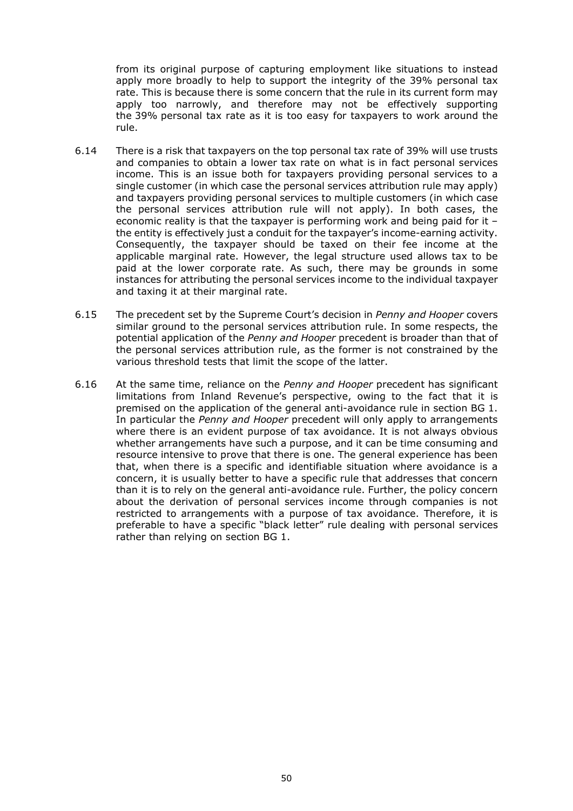from its original purpose of capturing employment like situations to instead apply more broadly to help to support the integrity of the 39% personal tax rate. This is because there is some concern that the rule in its current form may apply too narrowly, and therefore may not be effectively supporting the 39% personal tax rate as it is too easy for taxpayers to work around the rule.

- 6.14 There is a risk that taxpayers on the top personal tax rate of 39% will use trusts and companies to obtain a lower tax rate on what is in fact personal services income. This is an issue both for taxpayers providing personal services to a single customer (in which case the personal services attribution rule may apply) and taxpayers providing personal services to multiple customers (in which case the personal services attribution rule will not apply). In both cases, the economic reality is that the taxpayer is performing work and being paid for it – the entity is effectively just a conduit for the taxpayer's income-earning activity. Consequently, the taxpayer should be taxed on their fee income at the applicable marginal rate. However, the legal structure used allows tax to be paid at the lower corporate rate. As such, there may be grounds in some instances for attributing the personal services income to the individual taxpayer and taxing it at their marginal rate.
- 6.15 The precedent set by the Supreme Court's decision in *Penny and Hooper* covers similar ground to the personal services attribution rule. In some respects, the potential application of the *Penny and Hooper* precedent is broader than that of the personal services attribution rule, as the former is not constrained by the various threshold tests that limit the scope of the latter.
- 6.16 At the same time, reliance on the *Penny and Hooper* precedent has significant limitations from Inland Revenue's perspective, owing to the fact that it is premised on the application of the general anti-avoidance rule in section BG 1. In particular the *Penny and Hooper* precedent will only apply to arrangements where there is an evident purpose of tax avoidance. It is not always obvious whether arrangements have such a purpose, and it can be time consuming and resource intensive to prove that there is one. The general experience has been that, when there is a specific and identifiable situation where avoidance is a concern, it is usually better to have a specific rule that addresses that concern than it is to rely on the general anti-avoidance rule. Further, the policy concern about the derivation of personal services income through companies is not restricted to arrangements with a purpose of tax avoidance. Therefore, it is preferable to have a specific "black letter" rule dealing with personal services rather than relying on section BG 1.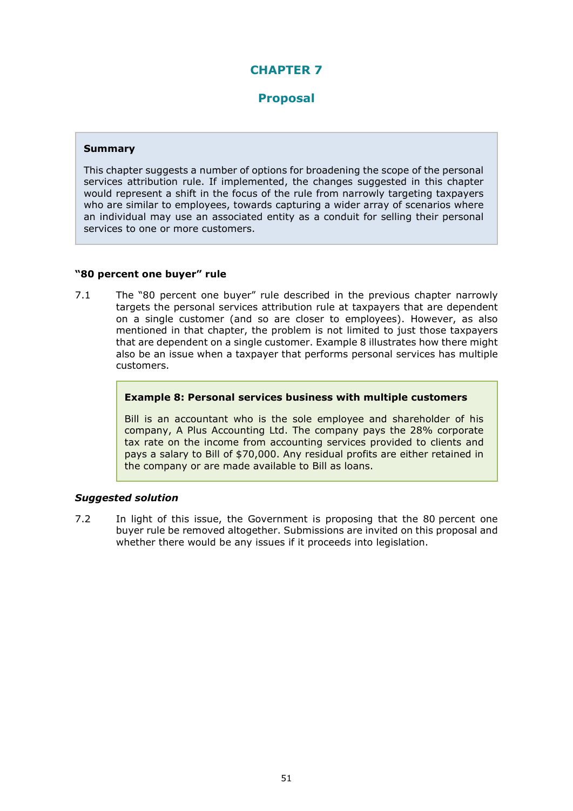# **CHAPTER 7**

## **Proposal**

#### **Summary**

This chapter suggests a number of options for broadening the scope of the personal services attribution rule. If implemented, the changes suggested in this chapter would represent a shift in the focus of the rule from narrowly targeting taxpayers who are similar to employees, towards capturing a wider array of scenarios where an individual may use an associated entity as a conduit for selling their personal services to one or more customers.

#### **"80 percent one buyer" rule**

7.1 The "80 percent one buyer" rule described in the previous chapter narrowly targets the personal services attribution rule at taxpayers that are dependent on a single customer (and so are closer to employees). However, as also mentioned in that chapter, the problem is not limited to just those taxpayers that are dependent on a single customer. Example 8 illustrates how there might also be an issue when a taxpayer that performs personal services has multiple customers.

#### **Example 8: Personal services business with multiple customers**

Bill is an accountant who is the sole employee and shareholder of his company, A Plus Accounting Ltd. The company pays the 28% corporate tax rate on the income from accounting services provided to clients and pays a salary to Bill of \$70,000. Any residual profits are either retained in the company or are made available to Bill as loans.

## *Suggested solution*

7.2 In light of this issue, the Government is proposing that the 80 percent one buyer rule be removed altogether. Submissions are invited on this proposal and whether there would be any issues if it proceeds into legislation.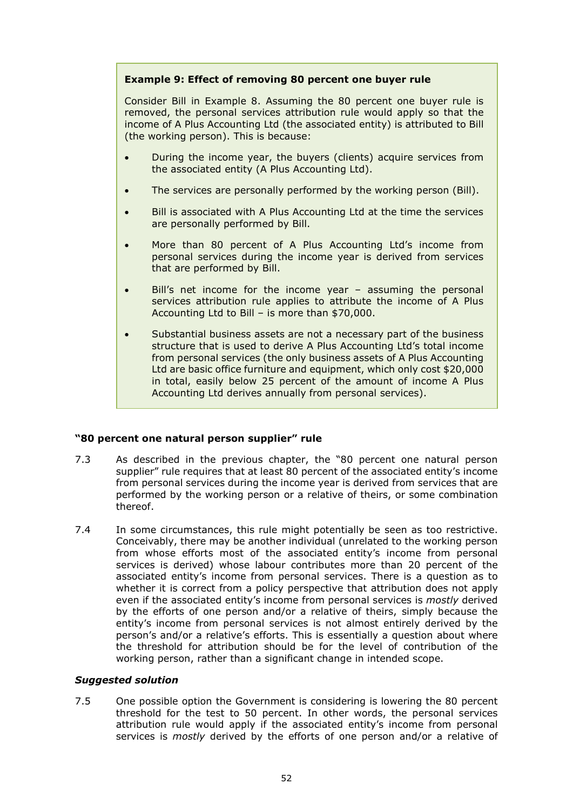### **Example 9: Effect of removing 80 percent one buyer rule**

Consider Bill in Example 8. Assuming the 80 percent one buyer rule is removed, the personal services attribution rule would apply so that the income of A Plus Accounting Ltd (the associated entity) is attributed to Bill (the working person). This is because:

- During the income year, the buyers (clients) acquire services from the associated entity (A Plus Accounting Ltd).
- The services are personally performed by the working person (Bill).
- Bill is associated with A Plus Accounting Ltd at the time the services are personally performed by Bill.
- More than 80 percent of A Plus Accounting Ltd's income from personal services during the income year is derived from services that are performed by Bill.
- Bill's net income for the income year assuming the personal services attribution rule applies to attribute the income of A Plus Accounting Ltd to Bill – is more than \$70,000.
- Substantial business assets are not a necessary part of the business structure that is used to derive A Plus Accounting Ltd's total income from personal services (the only business assets of A Plus Accounting Ltd are basic office furniture and equipment, which only cost \$20,000 in total, easily below 25 percent of the amount of income A Plus Accounting Ltd derives annually from personal services).

#### **"80 percent one natural person supplier" rule**

- 7.3 As described in the previous chapter, the "80 percent one natural person supplier" rule requires that at least 80 percent of the associated entity's income from personal services during the income year is derived from services that are performed by the working person or a relative of theirs, or some combination thereof.
- 7.4 In some circumstances, this rule might potentially be seen as too restrictive. Conceivably, there may be another individual (unrelated to the working person from whose efforts most of the associated entity's income from personal services is derived) whose labour contributes more than 20 percent of the associated entity's income from personal services. There is a question as to whether it is correct from a policy perspective that attribution does not apply even if the associated entity's income from personal services is *mostly* derived by the efforts of one person and/or a relative of theirs, simply because the entity's income from personal services is not almost entirely derived by the person's and/or a relative's efforts. This is essentially a question about where the threshold for attribution should be for the level of contribution of the working person, rather than a significant change in intended scope.

#### *Suggested solution*

7.5 One possible option the Government is considering is lowering the 80 percent threshold for the test to 50 percent. In other words, the personal services attribution rule would apply if the associated entity's income from personal services is *mostly* derived by the efforts of one person and/or a relative of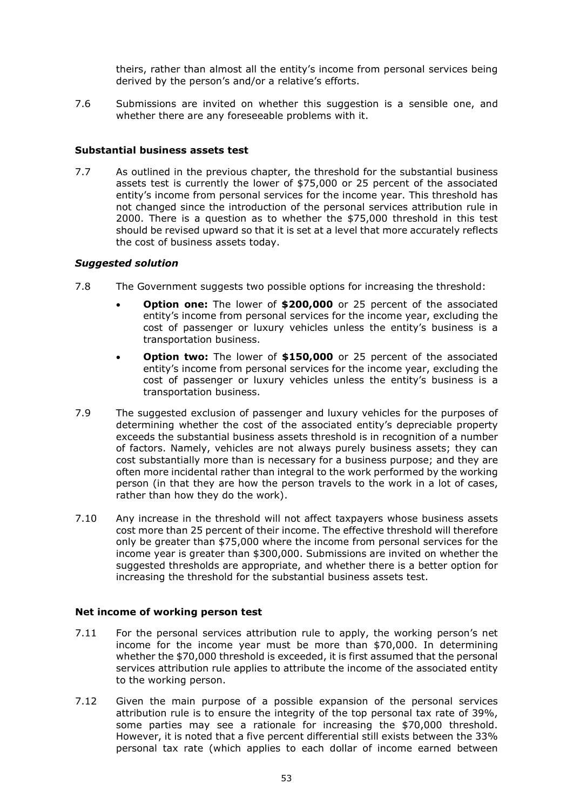theirs, rather than almost all the entity's income from personal services being derived by the person's and/or a relative's efforts.

7.6 Submissions are invited on whether this suggestion is a sensible one, and whether there are any foreseeable problems with it.

#### **Substantial business assets test**

7.7 As outlined in the previous chapter, the threshold for the substantial business assets test is currently the lower of \$75,000 or 25 percent of the associated entity's income from personal services for the income year. This threshold has not changed since the introduction of the personal services attribution rule in 2000. There is a question as to whether the \$75,000 threshold in this test should be revised upward so that it is set at a level that more accurately reflects the cost of business assets today.

#### *Suggested solution*

- 7.8 The Government suggests two possible options for increasing the threshold:
	- **Option one:** The lower of **\$200,000** or 25 percent of the associated entity's income from personal services for the income year, excluding the cost of passenger or luxury vehicles unless the entity's business is a transportation business.
	- **Option two:** The lower of **\$150,000** or 25 percent of the associated entity's income from personal services for the income year, excluding the cost of passenger or luxury vehicles unless the entity's business is a transportation business.
- 7.9 The suggested exclusion of passenger and luxury vehicles for the purposes of determining whether the cost of the associated entity's depreciable property exceeds the substantial business assets threshold is in recognition of a number of factors. Namely, vehicles are not always purely business assets; they can cost substantially more than is necessary for a business purpose; and they are often more incidental rather than integral to the work performed by the working person (in that they are how the person travels to the work in a lot of cases, rather than how they do the work).
- 7.10 Any increase in the threshold will not affect taxpayers whose business assets cost more than 25 percent of their income. The effective threshold will therefore only be greater than \$75,000 where the income from personal services for the income year is greater than \$300,000. Submissions are invited on whether the suggested thresholds are appropriate, and whether there is a better option for increasing the threshold for the substantial business assets test.

#### **Net income of working person test**

- 7.11 For the personal services attribution rule to apply, the working person's net income for the income year must be more than \$70,000. In determining whether the \$70,000 threshold is exceeded, it is first assumed that the personal services attribution rule applies to attribute the income of the associated entity to the working person.
- 7.12 Given the main purpose of a possible expansion of the personal services attribution rule is to ensure the integrity of the top personal tax rate of 39%, some parties may see a rationale for increasing the \$70,000 threshold. However, it is noted that a five percent differential still exists between the 33% personal tax rate (which applies to each dollar of income earned between